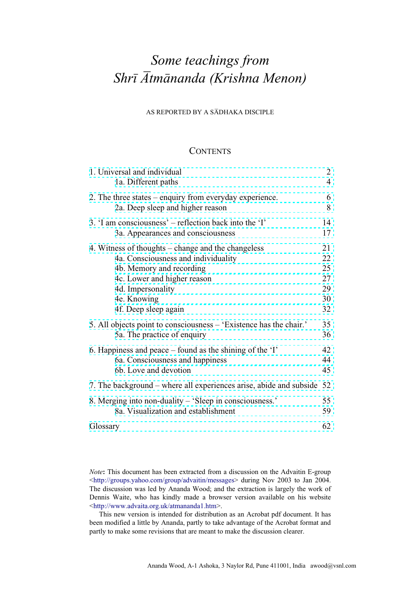# *Some teachings from Shri Atmananda (Krishna Menon)*

# AS REPORTED BY A SADHAKA DISCIPLE

# **CONTENTS**

| 1. Universal and individual                                        | $\overline{2}$ |
|--------------------------------------------------------------------|----------------|
| 1a. Different paths                                                | $\overline{4}$ |
| 2. The three states – enquiry from everyday experience.            | 6              |
| 2a. Deep sleep and higher reason                                   | 8              |
| 3. 'I am consciousness' – reflection back into the 'I'             | 14             |
| 3a. Appearances and consciousness                                  | 17             |
| 4. Witness of thoughts – change and the changeless                 | 21             |
| 4a. Consciousness and individuality                                | 22             |
| 4b. Memory and recording                                           | 25             |
| 4c. Lower and higher reason                                        | 27             |
| 4d. Impersonality                                                  | 29             |
| 4e. Knowing                                                        | 30             |
| 4f. Deep sleep again                                               | 32             |
| 5. All objects point to consciousness – 'Existence has the chair.' | 35             |
| 5a. The practice of enquiry                                        | 36             |
| 6. Happiness and peace $-$ found as the shining of the 'I'         | 42             |
| 6a. Consciousness and happiness                                    | 44             |
| 6b. Love and devotion                                              | 45             |
| 7. The background – where all experiences arise, abide and subside | 52             |
| 8. Merging into non-duality – 'Sleep in consciousness.'            | 55             |
| 8a. Visualization and establishment                                | 59             |
| Glossary                                                           | 62             |

*Note***:** This document has been extracted from a discussion on the Advaitin E-group <http://groups.yahoo.com/group/advaitin/messages> during Nov 2003 to Jan 2004. The discussion was led by Ananda Wood; and the extraction is largely the work of Dennis Waite, who has kindly made a browser version available on his website <http://www.advaita.org.uk/atmananda1.htm>.

This new version is intended for distribution as an Acrobat pdf document. It has been modified a little by Ananda, partly to take advantage of the Acrobat format and partly to make some revisions that are meant to make the discussion clearer.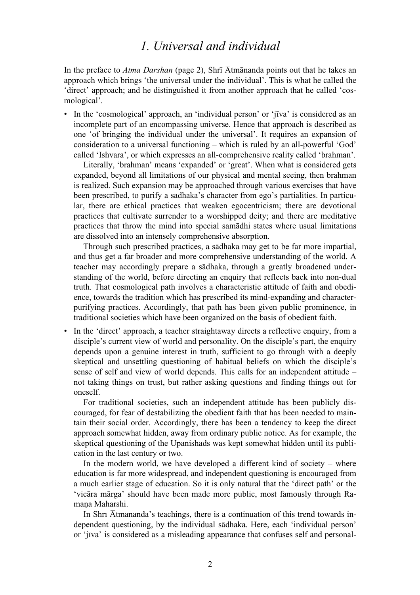# *1. Universal and individual*

<span id="page-1-0"></span>In the preface to *Atma Darshan* (page 2), Shri Atmananda points out that he takes an approach which brings 'the universal under the individual'. This is what he called the 'direct' approach; and he distinguished it from another approach that he called 'cosmological'.

• In the 'cosmological' approach, an 'individual person' or 'jūva' is considered as an incomplete part of an encompassing universe. Hence that approach is described as one 'of bringing the individual under the universal'. It requires an expansion of consideration to a universal functioning – which is ruled by an all-powerful 'God' called 'Ishvara', or which expresses an all-comprehensive reality called 'brahman'.

Literally, 'brahman' means 'expanded' or 'great'. When what is considered gets expanded, beyond all limitations of our physical and mental seeing, then brahman is realized. Such expansion may be approached through various exercises that have been prescribed, to purify a sadhaka's character from ego's partialities. In particular, there are ethical practices that weaken egocentricism; there are devotional practices that cultivate surrender to a worshipped deity; and there are meditative practices that throw the mind into special samadhi states where usual limitations are dissolved into an intensely comprehensive absorption.

Through such prescribed practices, a sadhaka may get to be far more impartial, and thus get a far broader and more comprehensive understanding of the world. A teacher may accordingly prepare a sadhaka, through a greatly broadened understanding of the world, before directing an enquiry that reflects back into non-dual truth. That cosmological path involves a characteristic attitude of faith and obedience, towards the tradition which has prescribed its mind-expanding and characterpurifying practices. Accordingly, that path has been given public prominence, in traditional societies which have been organized on the basis of obedient faith.

In the 'direct' approach, a teacher straightaway directs a reflective enquiry, from a disciple's current view of world and personality. On the disciple's part, the enquiry depends upon a genuine interest in truth, sufficient to go through with a deeply skeptical and unsettling questioning of habitual beliefs on which the disciple's sense of self and view of world depends. This calls for an independent attitude – not taking things on trust, but rather asking questions and finding things out for oneself.

For traditional societies, such an independent attitude has been publicly discouraged, for fear of destabilizing the obedient faith that has been needed to maintain their social order. Accordingly, there has been a tendency to keep the direct approach somewhat hidden, away from ordinary public notice. As for example, the skeptical questioning of the Upanishads was kept somewhat hidden until its publication in the last century or two.

In the modern world, we have developed a different kind of society – where education is far more widespread, and independent questioning is encouraged from a much earlier stage of education. So it is only natural that the 'direct path' or the 'vicara marga' should have been made more public, most famously through Ramana Maharshi.

In Shri Atmananda's teachings, there is a continuation of this trend towards independent questioning, by the individual sadhaka. Here, each 'individual person' or 'jiva' is considered as a misleading appearance that confuses self and personal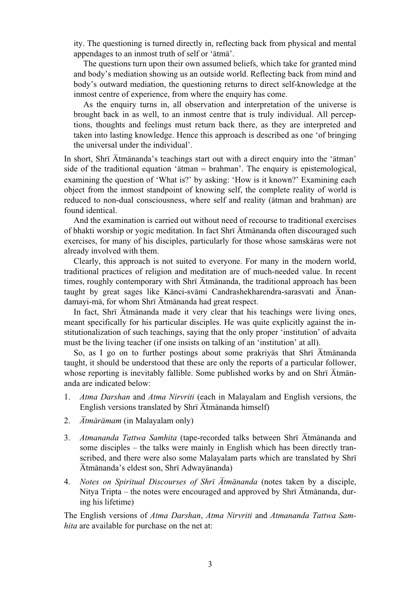ity. The questioning is turned directly in, reflecting back from physical and mental appendages to an inmost truth of self or 'atma'.

The questions turn upon their own assumed beliefs, which take for granted mind and body's mediation showing us an outside world. Reflecting back from mind and body's outward mediation, the questioning returns to direct self-knowledge at the inmost centre of experience, from where the enquiry has come.

As the enquiry turns in, all observation and interpretation of the universe is brought back in as well, to an inmost centre that is truly individual. All perceptions, thoughts and feelings must return back there, as they are interpreted and taken into lasting knowledge. Hence this approach is described as one 'of bringing the universal under the individual'.

In short, Shrī  $\overline{A}$ tmānanda's teachings start out with a direct enquiry into the ' $\overline{a}$ tman' side of the traditional equation ' $\bar{a}$ tman = brahman'. The enquiry is epistemological, examining the question of 'What is?' by asking: 'How is it known?' Examining each object from the inmost standpoint of knowing self, the complete reality of world is reduced to non-dual consciousness, where self and reality (atman and brahman) are found identical.

And the examination is carried out without need of recourse to traditional exercises of bhakti worship or yogic meditation. In fact Shri Atmananda often discouraged such exercises, for many of his disciples, particularly for those whose samskaras were not already involved with them.

Clearly, this approach is not suited to everyone. For many in the modern world, traditional practices of religion and meditation are of much-needed value. In recent times, roughly contemporary with Shrī Atmānanda, the traditional approach has been taught by great sages like Kānci-svāmi Candrashekharendra-sarasvati and  $\overline{A}$ nandamayi-ma, for whom Shri Atmananda had great respect.

In fact, Shrī Atmānanda made it very clear that his teachings were living ones, meant specifically for his particular disciples. He was quite explicitly against the institutionalization of such teachings, saying that the only proper 'institution' of advaita must be the living teacher (if one insists on talking of an 'institution' at all).

So, as I go on to further postings about some prakrivas that Shri Atmananda taught, it should be understood that these are only the reports of a particular follower, whose reporting is inevitably fallible. Some published works by and on Shrī Atmānanda are indicated below:

- 1. *Atma Darshan* and *Atma Nirvriti* (each in Malayalam and English versions, the English versions translated by Shrī  $\overline{A}$ tmānanda himself)
- 2. *Atmaramam* (in Malayalam only)
- 3. *Atmananda Tattwa Samhita* (tape-recorded talks between Shri Atmananda and some disciples – the talks were mainly in English which has been directly transcribed, and there were also some Malayalam parts which are translated by Shri Atmananda's eldest son, Shri Adwayananda)
- 4. *Notes on Spiritual Discourses of Shri Atmananda* (notes taken by a disciple, Nitya Tripta – the notes were encouraged and approved by Shrī  $\overline{A}$ tmānanda, during his lifetime)

The English versions of *Atma Darshan*, *Atma Nirvriti* and *Atmananda Tattwa Samhita* are available for purchase on the net at: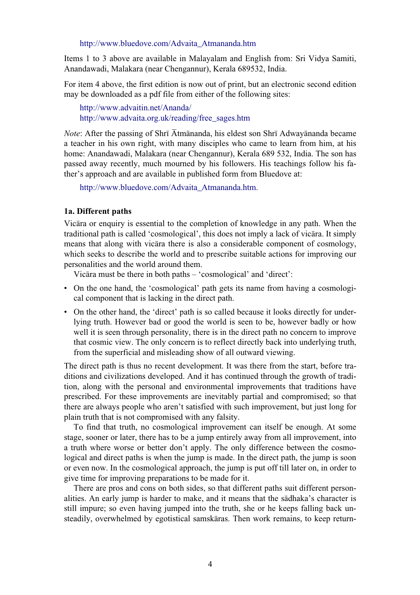http://www.bluedove.com/Advaita\_Atmananda.htm

<span id="page-3-0"></span>Items 1 to 3 above are available in Malayalam and English from: Sri Vidya Samiti, Anandawadi, Malakara (near Chengannur), Kerala 689532, India.

For item 4 above, the first edition is now out of print, but an electronic second edition may be downloaded as a pdf file from either of the following sites:

http://www.advaitin.net/Ananda/ http://www.advaita.org.uk/reading/free\_sages.htm

*Note*: After the passing of Shrī Atmānanda, his eldest son Shrī Adwayānanda became a teacher in his own right, with many disciples who came to learn from him, at his home: Anandawadi, Malakara (near Chengannur), Kerala 689 532, India. The son has passed away recently, much mourned by his followers. His teachings follow his father's approach and are available in published form from Bluedove at:

http://www.bluedove.com/Advaita\_Atmananda.htm.

#### **1a. Different paths**

Vicara or enquiry is essential to the completion of knowledge in any path. When the traditional path is called 'cosmological', this does not imply a lack of vicara. It simply means that along with vicara there is also a considerable component of cosmology, which seeks to describe the world and to prescribe suitable actions for improving our personalities and the world around them.

Vicara must be there in both paths – 'cosmological' and 'direct':

- On the one hand, the 'cosmological' path gets its name from having a cosmological component that is lacking in the direct path.
- On the other hand, the 'direct' path is so called because it looks directly for underlying truth. However bad or good the world is seen to be, however badly or how well it is seen through personality, there is in the direct path no concern to improve that cosmic view. The only concern is to reflect directly back into underlying truth, from the superficial and misleading show of all outward viewing.

The direct path is thus no recent development. It was there from the start, before traditions and civilizations developed. And it has continued through the growth of tradition, along with the personal and environmental improvements that traditions have prescribed. For these improvements are inevitably partial and compromised; so that there are always people who aren't satisfied with such improvement, but just long for plain truth that is not compromised with any falsity.

To find that truth, no cosmological improvement can itself be enough. At some stage, sooner or later, there has to be a jump entirely away from all improvement, into a truth where worse or better don't apply. The only difference between the cosmological and direct paths is when the jump is made. In the direct path, the jump is soon or even now. In the cosmological approach, the jump is put off till later on, in order to give time for improving preparations to be made for it.

There are pros and cons on both sides, so that different paths suit different personalities. An early jump is harder to make, and it means that the sadhaka's character is still impure; so even having jumped into the truth, she or he keeps falling back unsteadily, overwhelmed by egotistical samskaras. Then work remains, to keep return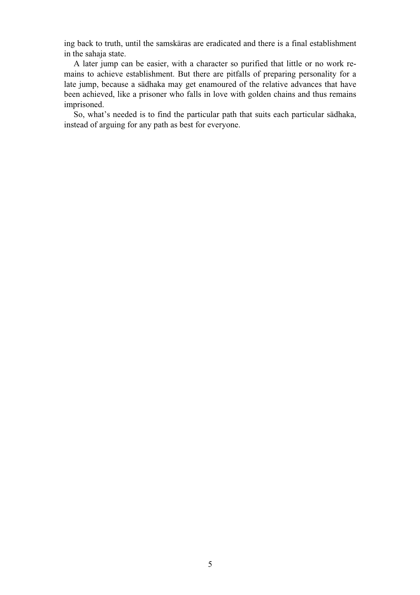ing back to truth, until the samskaras are eradicated and there is a final establishment in the sahaja state.

A later jump can be easier, with a character so purified that little or no work remains to achieve establishment. But there are pitfalls of preparing personality for a late jump, because a sādhaka may get enamoured of the relative advances that have been achieved, like a prisoner who falls in love with golden chains and thus remains imprisoned.

So, what's needed is to find the particular path that suits each particular sadhaka, instead of arguing for any path as best for everyone.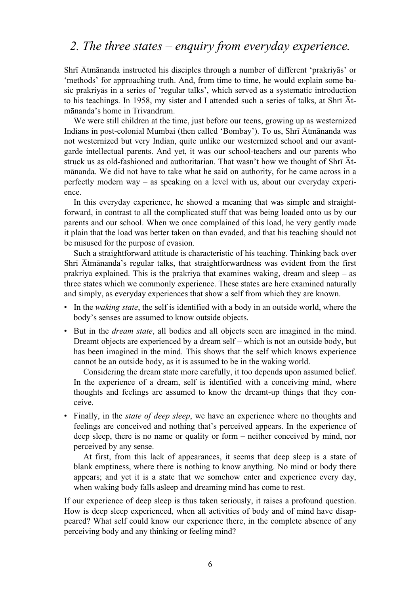# <span id="page-5-0"></span>*2. The three states – enquiry from everyday experience.*

Shrī Ātmānanda instructed his disciples through a number of different 'prakriyas' or 'methods' for approaching truth. And, from time to time, he would explain some basic prakriyas in a series of 'regular talks', which served as a systematic introduction to his teachings. In 1958, my sister and I attended such a series of talks, at Shri Atmananda's home in Trivandrum.

We were still children at the time, just before our teens, growing up as westernized Indians in post-colonial Mumbai (then called 'Bombay'). To us, Shri Atmananda was not westernized but very Indian, quite unlike our westernized school and our avantgarde intellectual parents. And yet, it was our school-teachers and our parents who struck us as old-fashioned and authoritarian. That wasn't how we thought of Shrī  $\overline{A}t$ mānanda. We did not have to take what he said on authority, for he came across in a perfectly modern way – as speaking on a level with us, about our everyday experience.

In this everyday experience, he showed a meaning that was simple and straightforward, in contrast to all the complicated stuff that was being loaded onto us by our parents and our school. When we once complained of this load, he very gently made it plain that the load was better taken on than evaded, and that his teaching should not be misused for the purpose of evasion.

Such a straightforward attitude is characteristic of his teaching. Thinking back over Shri Atmananda's regular talks, that straightforwardness was evident from the first prakriya explained. This is the prakriya that examines waking, dream and sleep  $-$  as three states which we commonly experience. These states are here examined naturally and simply, as everyday experiences that show a self from which they are known.

- In the *waking state*, the self is identified with a body in an outside world, where the body's senses are assumed to know outside objects.
- But in the *dream state*, all bodies and all objects seen are imagined in the mind. Dreamt objects are experienced by a dream self – which is not an outside body, but has been imagined in the mind. This shows that the self which knows experience cannot be an outside body, as it is assumed to be in the waking world.

Considering the dream state more carefully, it too depends upon assumed belief. In the experience of a dream, self is identified with a conceiving mind, where thoughts and feelings are assumed to know the dreamt-up things that they conceive.

• Finally, in the *state of deep sleep*, we have an experience where no thoughts and feelings are conceived and nothing that's perceived appears. In the experience of deep sleep, there is no name or quality or form – neither conceived by mind, nor perceived by any sense.

At first, from this lack of appearances, it seems that deep sleep is a state of blank emptiness, where there is nothing to know anything. No mind or body there appears; and yet it is a state that we somehow enter and experience every day, when waking body falls asleep and dreaming mind has come to rest.

If our experience of deep sleep is thus taken seriously, it raises a profound question. How is deep sleep experienced, when all activities of body and of mind have disappeared? What self could know our experience there, in the complete absence of any perceiving body and any thinking or feeling mind?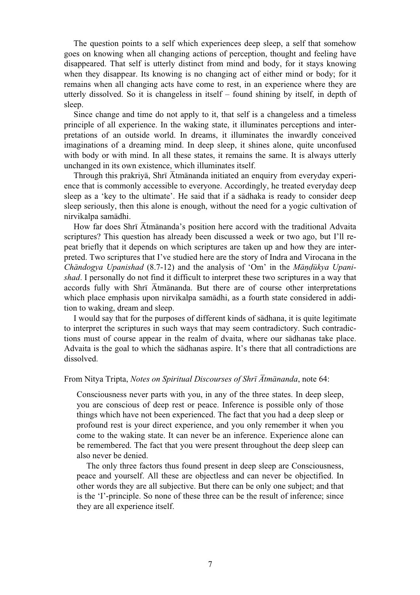The question points to a self which experiences deep sleep, a self that somehow goes on knowing when all changing actions of perception, thought and feeling have disappeared. That self is utterly distinct from mind and body, for it stays knowing when they disappear. Its knowing is no changing act of either mind or body; for it remains when all changing acts have come to rest, in an experience where they are utterly dissolved. So it is changeless in itself – found shining by itself, in depth of sleep.

Since change and time do not apply to it, that self is a changeless and a timeless principle of all experience. In the waking state, it illuminates perceptions and interpretations of an outside world. In dreams, it illuminates the inwardly conceived imaginations of a dreaming mind. In deep sleep, it shines alone, quite unconfused with body or with mind. In all these states, it remains the same. It is always utterly unchanged in its own existence, which illuminates itself.

Through this prakriya, Shri Atmananda initiated an enquiry from everyday experience that is commonly accessible to everyone. Accordingly, he treated everyday deep sleep as a 'key to the ultimate'. He said that if a sadhaka is ready to consider deep sleep seriously, then this alone is enough, without the need for a yogic cultivation of nirvikalpa samadhi.

How far does Shri Atmananda's position here accord with the traditional Advaita scriptures? This question has already been discussed a week or two ago, but I'll repeat briefly that it depends on which scriptures are taken up and how they are interpreted. Two scriptures that I've studied here are the story of Indra and Virocana in the *Chandogya Upanishad* (8.7-12) and the analysis of 'Om' in the *Mandukya Upanishad*. I personally do not find it difficult to interpret these two scriptures in a way that accords fully with Shri Atmananda. But there are of course other interpretations which place emphasis upon nirvikalpa samadhi, as a fourth state considered in addition to waking, dream and sleep.

I would say that for the purposes of different kinds of sadhana, it is quite legitimate to interpret the scriptures in such ways that may seem contradictory. Such contradictions must of course appear in the realm of dvaita, where our sadhanas take place. Advaita is the goal to which the sadhanas aspire. It's there that all contradictions are dissolved.

#### From Nitya Tripta, *Notes on Spiritual Discourses of Shri Atmananda*, note 64:

Consciousness never parts with you, in any of the three states. In deep sleep, you are conscious of deep rest or peace. Inference is possible only of those things which have not been experienced. The fact that you had a deep sleep or profound rest is your direct experience, and you only remember it when you come to the waking state. It can never be an inference. Experience alone can be remembered. The fact that you were present throughout the deep sleep can also never be denied.

The only three factors thus found present in deep sleep are Consciousness, peace and yourself. All these are objectless and can never be objectified. In other words they are all subjective. But there can be only one subject; and that is the 'I'-principle. So none of these three can be the result of inference; since they are all experience itself.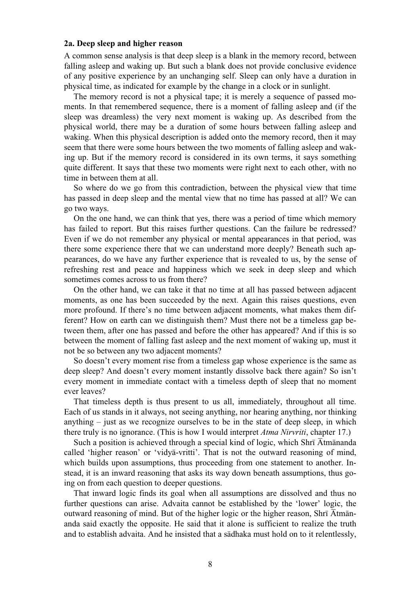## <span id="page-7-0"></span>**2a. Deep sleep and higher reason**

A common sense analysis is that deep sleep is a blank in the memory record, between falling asleep and waking up. But such a blank does not provide conclusive evidence of any positive experience by an unchanging self. Sleep can only have a duration in physical time, as indicated for example by the change in a clock or in sunlight.

The memory record is not a physical tape; it is merely a sequence of passed moments. In that remembered sequence, there is a moment of falling asleep and (if the sleep was dreamless) the very next moment is waking up. As described from the physical world, there may be a duration of some hours between falling asleep and waking. When this physical description is added onto the memory record, then it may seem that there were some hours between the two moments of falling asleep and waking up. But if the memory record is considered in its own terms, it says something quite different. It says that these two moments were right next to each other, with no time in between them at all.

So where do we go from this contradiction, between the physical view that time has passed in deep sleep and the mental view that no time has passed at all? We can go two ways.

On the one hand, we can think that yes, there was a period of time which memory has failed to report. But this raises further questions. Can the failure be redressed? Even if we do not remember any physical or mental appearances in that period, was there some experience there that we can understand more deeply? Beneath such appearances, do we have any further experience that is revealed to us, by the sense of refreshing rest and peace and happiness which we seek in deep sleep and which sometimes comes across to us from there?

On the other hand, we can take it that no time at all has passed between adjacent moments, as one has been succeeded by the next. Again this raises questions, even more profound. If there's no time between adjacent moments, what makes them different? How on earth can we distinguish them? Must there not be a timeless gap between them, after one has passed and before the other has appeared? And if this is so between the moment of falling fast asleep and the next moment of waking up, must it not be so between any two adjacent moments?

So doesn't every moment rise from a timeless gap whose experience is the same as deep sleep? And doesn't every moment instantly dissolve back there again? So isn't every moment in immediate contact with a timeless depth of sleep that no moment ever leaves?

That timeless depth is thus present to us all, immediately, throughout all time. Each of us stands in it always, not seeing anything, nor hearing anything, nor thinking anything – just as we recognize ourselves to be in the state of deep sleep, in which there truly is no ignorance. (This is how I would interpret *Atma Nirvriti*, chapter 17.)

Such a position is achieved through a special kind of logic, which Shri Atmananda called 'higher reason' or 'vidya-vritti'. That is not the outward reasoning of mind, which builds upon assumptions, thus proceeding from one statement to another. Instead, it is an inward reasoning that asks its way down beneath assumptions, thus going on from each question to deeper questions.

That inward logic finds its goal when all assumptions are dissolved and thus no further questions can arise. Advaita cannot be established by the 'lower' logic, the outward reasoning of mind. But of the higher logic or the higher reason, Shri Atmananda said exactly the opposite. He said that it alone is sufficient to realize the truth and to establish advaita. And he insisted that a sadhaka must hold on to it relentlessly,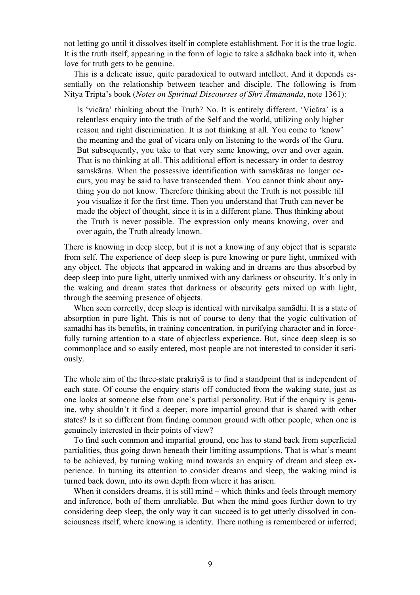not letting go until it dissolves itself in complete establishment. For it is the true logic. It is the truth itself, appearing in the form of logic to take a sadhaka back into it, when love for truth gets to be genuine.

This is a delicate issue, quite paradoxical to outward intellect. And it depends essentially on the relationship between teacher and disciple. The following is from Nitya Tripta's book (*Notes on Spiritual Discourses of Shri Atmananda*, note 1361):

Is 'vicara' thinking about the Truth? No. It is entirely different. 'Vicara' is a relentless enquiry into the truth of the Self and the world, utilizing only higher reason and right discrimination. It is not thinking at all. You come to 'know' the meaning and the goal of vicara only on listening to the words of the Guru. But subsequently, you take to that very same knowing, over and over again. That is no thinking at all. This additional effort is necessary in order to destroy samskāras. When the possessive identification with samskāras no longer occurs, you may be said to have transcended them. You cannot think about anything you do not know. Therefore thinking about the Truth is not possible till you visualize it for the first time. Then you understand that Truth can never be made the object of thought, since it is in a different plane. Thus thinking about the Truth is never possible. The expression only means knowing, over and over again, the Truth already known.

There is knowing in deep sleep, but it is not a knowing of any object that is separate from self. The experience of deep sleep is pure knowing or pure light, unmixed with any object. The objects that appeared in waking and in dreams are thus absorbed by deep sleep into pure light, utterly unmixed with any darkness or obscurity. It's only in the waking and dream states that darkness or obscurity gets mixed up with light, through the seeming presence of objects.

When seen correctly, deep sleep is identical with nirvikalpa samadhi. It is a state of absorption in pure light. This is not of course to deny that the yogic cultivation of samadhi has its benefits, in training concentration, in purifying character and in forcefully turning attention to a state of objectless experience. But, since deep sleep is so commonplace and so easily entered, most people are not interested to consider it seriously.

The whole aim of the three-state prakriya is to find a standpoint that is independent of each state. Of course the enquiry starts off conducted from the waking state, just as one looks at someone else from one's partial personality. But if the enquiry is genuine, why shouldn't it find a deeper, more impartial ground that is shared with other states? Is it so different from finding common ground with other people, when one is genuinely interested in their points of view?

To find such common and impartial ground, one has to stand back from superficial partialities, thus going down beneath their limiting assumptions. That is what's meant to be achieved, by turning waking mind towards an enquiry of dream and sleep experience. In turning its attention to consider dreams and sleep, the waking mind is turned back down, into its own depth from where it has arisen.

When it considers dreams, it is still mind – which thinks and feels through memory and inference, both of them unreliable. But when the mind goes further down to try considering deep sleep, the only way it can succeed is to get utterly dissolved in consciousness itself, where knowing is identity. There nothing is remembered or inferred;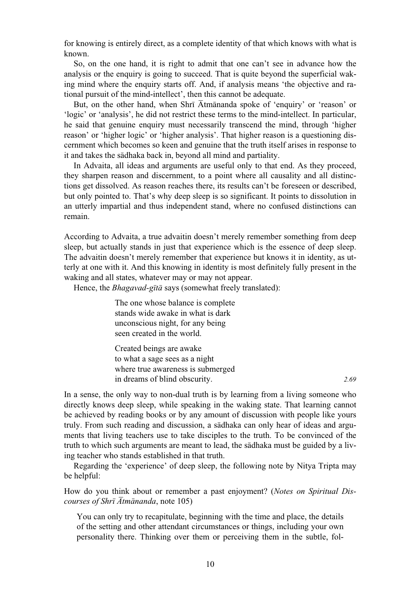for knowing is entirely direct, as a complete identity of that which knows with what is known.

So, on the one hand, it is right to admit that one can't see in advance how the analysis or the enquiry is going to succeed. That is quite beyond the superficial waking mind where the enquiry starts off. And, if analysis means 'the objective and rational pursuit of the mind-intellect', then this cannot be adequate.

But, on the other hand, when Shri Atmananda spoke of 'enquiry' or 'reason' or 'logic' or 'analysis', he did not restrict these terms to the mind-intellect. In particular, he said that genuine enquiry must necessarily transcend the mind, through 'higher reason' or 'higher logic' or 'higher analysis'. That higher reason is a questioning discernment which becomes so keen and genuine that the truth itself arises in response to it and takes the sadhaka back in, beyond all mind and partiality.

In Advaita, all ideas and arguments are useful only to that end. As they proceed, they sharpen reason and discernment, to a point where all causality and all distinctions get dissolved. As reason reaches there, its results can't be foreseen or described, but only pointed to. That's why deep sleep is so significant. It points to dissolution in an utterly impartial and thus independent stand, where no confused distinctions can remain.

According to Advaita, a true advaitin doesn't merely remember something from deep sleep, but actually stands in just that experience which is the essence of deep sleep. The advaitin doesn't merely remember that experience but knows it in identity, as utterly at one with it. And this knowing in identity is most definitely fully present in the waking and all states, whatever may or may not appear.

Hence, the *Bhagavad-gita* says (somewhat freely translated):

The one whose balance is complete stands wide awake in what is dark unconscious night, for any being seen created in the world.

Created beings are awake to what a sage sees as a night where true awareness is submerged in dreams of blind obscurity. *2.69* 

In a sense, the only way to non-dual truth is by learning from a living someone who directly knows deep sleep, while speaking in the waking state. That learning cannot be achieved by reading books or by any amount of discussion with people like yours truly. From such reading and discussion, a sadhaka can only hear of ideas and arguments that living teachers use to take disciples to the truth. To be convinced of the truth to which such arguments are meant to lead, the sadhaka must be guided by a living teacher who stands established in that truth.

Regarding the 'experience' of deep sleep, the following note by Nitya Tripta may be helpful:

How do you think about or remember a past enjoyment? (*Notes on Spiritual Discourses of Shri Atmananda*, note 105)

You can only try to recapitulate, beginning with the time and place, the details of the setting and other attendant circumstances or things, including your own personality there. Thinking over them or perceiving them in the subtle, fol-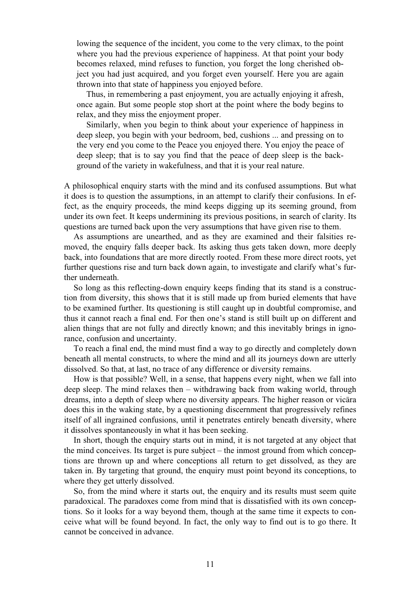lowing the sequence of the incident, you come to the very climax, to the point where you had the previous experience of happiness. At that point your body becomes relaxed, mind refuses to function, you forget the long cherished object you had just acquired, and you forget even yourself. Here you are again thrown into that state of happiness you enjoyed before.

Thus, in remembering a past enjoyment, you are actually enjoying it afresh, once again. But some people stop short at the point where the body begins to relax, and they miss the enjoyment proper.

Similarly, when you begin to think about your experience of happiness in deep sleep, you begin with your bedroom, bed, cushions ... and pressing on to the very end you come to the Peace you enjoyed there. You enjoy the peace of deep sleep; that is to say you find that the peace of deep sleep is the background of the variety in wakefulness, and that it is your real nature.

A philosophical enquiry starts with the mind and its confused assumptions. But what it does is to question the assumptions, in an attempt to clarify their confusions. In effect, as the enquiry proceeds, the mind keeps digging up its seeming ground, from under its own feet. It keeps undermining its previous positions, in search of clarity. Its questions are turned back upon the very assumptions that have given rise to them.

As assumptions are unearthed, and as they are examined and their falsities removed, the enquiry falls deeper back. Its asking thus gets taken down, more deeply back, into foundations that are more directly rooted. From these more direct roots, yet further questions rise and turn back down again, to investigate and clarify what's further underneath.

So long as this reflecting-down enquiry keeps finding that its stand is a construction from diversity, this shows that it is still made up from buried elements that have to be examined further. Its questioning is still caught up in doubtful compromise, and thus it cannot reach a final end. For then one's stand is still built up on different and alien things that are not fully and directly known; and this inevitably brings in ignorance, confusion and uncertainty.

To reach a final end, the mind must find a way to go directly and completely down beneath all mental constructs, to where the mind and all its journeys down are utterly dissolved. So that, at last, no trace of any difference or diversity remains.

How is that possible? Well, in a sense, that happens every night, when we fall into deep sleep. The mind relaxes then – withdrawing back from waking world, through dreams, into a depth of sleep where no diversity appears. The higher reason or vicara does this in the waking state, by a questioning discernment that progressively refines itself of all ingrained confusions, until it penetrates entirely beneath diversity, where it dissolves spontaneously in what it has been seeking.

In short, though the enquiry starts out in mind, it is not targeted at any object that the mind conceives. Its target is pure subject – the inmost ground from which conceptions are thrown up and where conceptions all return to get dissolved, as they are taken in. By targeting that ground, the enquiry must point beyond its conceptions, to where they get utterly dissolved.

So, from the mind where it starts out, the enquiry and its results must seem quite paradoxical. The paradoxes come from mind that is dissatisfied with its own conceptions. So it looks for a way beyond them, though at the same time it expects to conceive what will be found beyond. In fact, the only way to find out is to go there. It cannot be conceived in advance.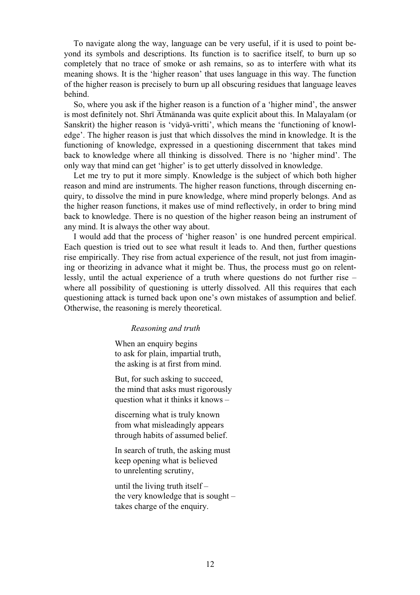To navigate along the way, language can be very useful, if it is used to point beyond its symbols and descriptions. Its function is to sacrifice itself, to burn up so completely that no trace of smoke or ash remains, so as to interfere with what its meaning shows. It is the 'higher reason' that uses language in this way. The function of the higher reason is precisely to burn up all obscuring residues that language leaves behind.

So, where you ask if the higher reason is a function of a 'higher mind', the answer is most definitely not. Shrī  $\overline{A}$ tmānanda was quite explicit about this. In Malayalam (or Sanskrit) the higher reason is 'vidya-vritti', which means the 'functioning of knowledge'. The higher reason is just that which dissolves the mind in knowledge. It is the functioning of knowledge, expressed in a questioning discernment that takes mind back to knowledge where all thinking is dissolved. There is no 'higher mind'. The only way that mind can get 'higher' is to get utterly dissolved in knowledge.

Let me try to put it more simply. Knowledge is the subject of which both higher reason and mind are instruments. The higher reason functions, through discerning enquiry, to dissolve the mind in pure knowledge, where mind properly belongs. And as the higher reason functions, it makes use of mind reflectively, in order to bring mind back to knowledge. There is no question of the higher reason being an instrument of any mind. It is always the other way about.

I would add that the process of 'higher reason' is one hundred percent empirical. Each question is tried out to see what result it leads to. And then, further questions rise empirically. They rise from actual experience of the result, not just from imagining or theorizing in advance what it might be. Thus, the process must go on relentlessly, until the actual experience of a truth where questions do not further rise – where all possibility of questioning is utterly dissolved. All this requires that each questioning attack is turned back upon one's own mistakes of assumption and belief. Otherwise, the reasoning is merely theoretical.

## *Reasoning and truth*

When an enquiry begins to ask for plain, impartial truth, the asking is at first from mind.

But, for such asking to succeed, the mind that asks must rigorously question what it thinks it knows –

discerning what is truly known from what misleadingly appears through habits of assumed belief.

In search of truth, the asking must keep opening what is believed to unrelenting scrutiny,

until the living truth itself – the very knowledge that is sought – takes charge of the enquiry.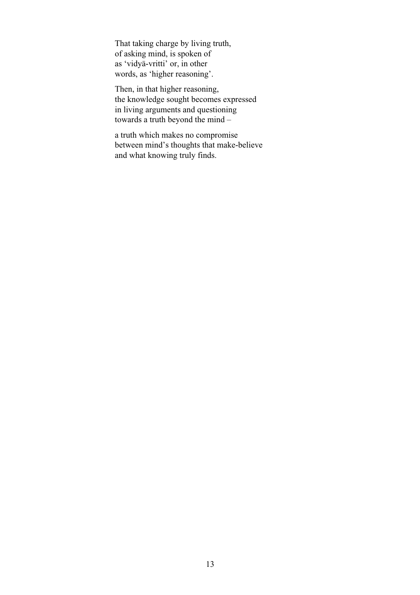That taking charge by living truth, of asking mind, is spoken of as 'vidya-vritti' or, in other words, as 'higher reasoning'.

Then, in that higher reasoning, the knowledge sought becomes expressed in living arguments and questioning towards a truth beyond the mind –

a truth which makes no compromise between mind's thoughts that make-believe and what knowing truly finds.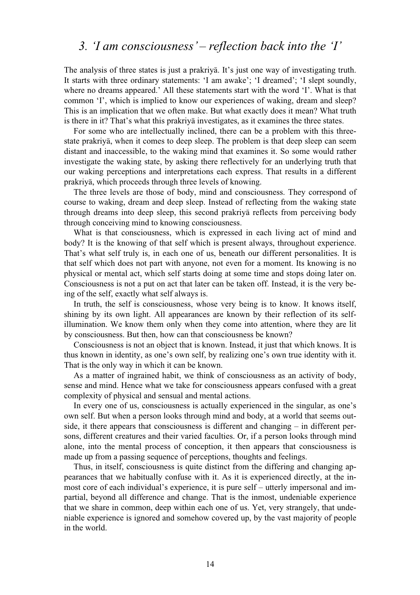# <span id="page-13-0"></span>*3. 'I am consciousness' – reflection back into the 'I'*

The analysis of three states is just a prakriya. It's just one way of investigating truth. It starts with three ordinary statements: 'I am awake'; 'I dreamed'; 'I slept soundly, where no dreams appeared.' All these statements start with the word 'I'. What is that common 'I', which is implied to know our experiences of waking, dream and sleep? This is an implication that we often make. But what exactly does it mean? What truth is there in it? That's what this prakriya investigates, as it examines the three states.

For some who are intellectually inclined, there can be a problem with this threestate prakriya, when it comes to deep sleep. The problem is that deep sleep can seem distant and inaccessible, to the waking mind that examines it. So some would rather investigate the waking state, by asking there reflectively for an underlying truth that our waking perceptions and interpretations each express. That results in a different prakriya, which proceeds through three levels of knowing.

The three levels are those of body, mind and consciousness. They correspond of course to waking, dream and deep sleep. Instead of reflecting from the waking state through dreams into deep sleep, this second prakriya reflects from perceiving body through conceiving mind to knowing consciousness.

What is that consciousness, which is expressed in each living act of mind and body? It is the knowing of that self which is present always, throughout experience. That's what self truly is, in each one of us, beneath our different personalities. It is that self which does not part with anyone, not even for a moment. Its knowing is no physical or mental act, which self starts doing at some time and stops doing later on. Consciousness is not a put on act that later can be taken off. Instead, it is the very being of the self, exactly what self always is.

In truth, the self is consciousness, whose very being is to know. It knows itself, shining by its own light. All appearances are known by their reflection of its selfillumination. We know them only when they come into attention, where they are lit by consciousness. But then, how can that consciousness be known?

Consciousness is not an object that is known. Instead, it just that which knows. It is thus known in identity, as one's own self, by realizing one's own true identity with it. That is the only way in which it can be known.

As a matter of ingrained habit, we think of consciousness as an activity of body, sense and mind. Hence what we take for consciousness appears confused with a great complexity of physical and sensual and mental actions.

In every one of us, consciousness is actually experienced in the singular, as one's own self. But when a person looks through mind and body, at a world that seems outside, it there appears that consciousness is different and changing – in different persons, different creatures and their varied faculties. Or, if a person looks through mind alone, into the mental process of conception, it then appears that consciousness is made up from a passing sequence of perceptions, thoughts and feelings.

Thus, in itself, consciousness is quite distinct from the differing and changing appearances that we habitually confuse with it. As it is experienced directly, at the inmost core of each individual's experience, it is pure self – utterly impersonal and impartial, beyond all difference and change. That is the inmost, undeniable experience that we share in common, deep within each one of us. Yet, very strangely, that undeniable experience is ignored and somehow covered up, by the vast majority of people in the world.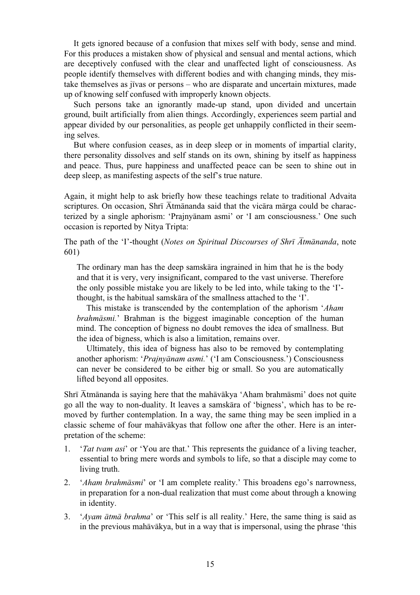It gets ignored because of a confusion that mixes self with body, sense and mind. For this produces a mistaken show of physical and sensual and mental actions, which are deceptively confused with the clear and unaffected light of consciousness. As people identify themselves with different bodies and with changing minds, they mistake themselves as jivas or persons – who are disparate and uncertain mixtures, made up of knowing self confused with improperly known objects.

Such persons take an ignorantly made-up stand, upon divided and uncertain ground, built artificially from alien things. Accordingly, experiences seem partial and appear divided by our personalities, as people get unhappily conflicted in their seeming selves.

But where confusion ceases, as in deep sleep or in moments of impartial clarity, there personality dissolves and self stands on its own, shining by itself as happiness and peace. Thus, pure happiness and unaffected peace can be seen to shine out in deep sleep, as manifesting aspects of the self's true nature.

Again, it might help to ask briefly how these teachings relate to traditional Advaita scriptures. On occasion, Shrī Ātmānanda said that the vicāra mārga could be characterized by a single aphorism: 'Prajnyanam asmi' or 'I am consciousness.' One such occasion is reported by Nitya Tripta:

The path of the 'I'-thought (*Notes on Spiritual Discourses of Shri Atmananda*, note 601)

The ordinary man has the deep samskara ingrained in him that he is the body and that it is very, very insignificant, compared to the vast universe. Therefore the only possible mistake you are likely to be led into, while taking to the 'I' thought, is the habitual samskara of the smallness attached to the 'I'.

This mistake is transcended by the contemplation of the aphorism '*Aham brahmasmi.*' Brahman is the biggest imaginable conception of the human mind. The conception of bigness no doubt removes the idea of smallness. But the idea of bigness, which is also a limitation, remains over.

Ultimately, this idea of bigness has also to be removed by contemplating another aphorism: '*Prajnyanam asmi.*' ('I am Consciousness.') Consciousness can never be considered to be either big or small. So you are automatically lifted beyond all opposites.

Shrī  $\overline{A}$ tmānanda is saying here that the mahāvākya 'Aham brahmāsmi' does not quite go all the way to non-duality. It leaves a samskara of 'bigness', which has to be removed by further contemplation. In a way, the same thing may be seen implied in a classic scheme of four mahavakyas that follow one after the other. Here is an interpretation of the scheme:

- 1. '*Tat tvam asi*' or 'You are that.' This represents the guidance of a living teacher, essential to bring mere words and symbols to life, so that a disciple may come to living truth.
- 2. '*Aham brahmasmi*' or 'I am complete reality.' This broadens ego's narrowness, in preparation for a non-dual realization that must come about through a knowing in identity.
- 3. '*Ayam atma brahma*' or 'This self is all reality.' Here, the same thing is said as in the previous mahavakya, but in a way that is impersonal, using the phrase 'this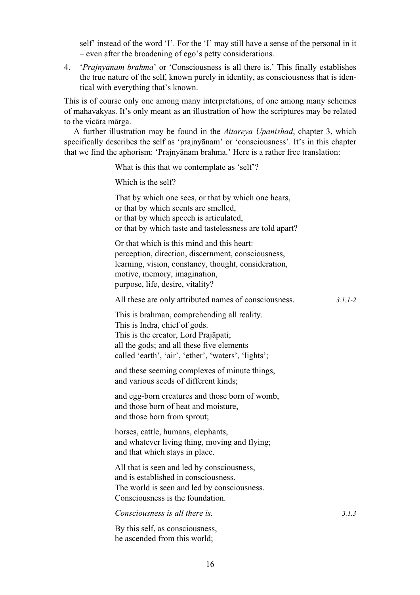self' instead of the word 'I'. For the 'I' may still have a sense of the personal in it – even after the broadening of ego's petty considerations.

4. '*Prajnyanam brahma*' or 'Consciousness is all there is.' This finally establishes the true nature of the self, known purely in identity, as consciousness that is identical with everything that's known.

This is of course only one among many interpretations, of one among many schemes of mahavakyas. It's only meant as an illustration of how the scriptures may be related to the vicara marga.

A further illustration may be found in the *Aitareya Upanishad*, chapter 3, which specifically describes the self as 'prajnyanam' or 'consciousness'. It's in this chapter that we find the aphorism: 'Prajnyanam brahma.' Here is a rather free translation:

> What is this that we contemplate as 'self'? Which is the self? That by which one sees, or that by which one hears, or that by which scents are smelled, or that by which speech is articulated, or that by which taste and tastelessness are told apart? Or that which is this mind and this heart: perception, direction, discernment, consciousness, learning, vision, constancy, thought, consideration, motive, memory, imagination, purpose, life, desire, vitality? All these are only attributed names of consciousness. *3.1.1-2* This is brahman, comprehending all reality. This is Indra, chief of gods. This is the creator, Lord Prajapati; all the gods; and all these five elements called 'earth', 'air', 'ether', 'waters', 'lights'; and these seeming complexes of minute things, and various seeds of different kinds; and egg-born creatures and those born of womb, and those born of heat and moisture, and those born from sprout; horses, cattle, humans, elephants, and whatever living thing, moving and flying; and that which stays in place. All that is seen and led by consciousness, and is established in consciousness. The world is seen and led by consciousness. Consciousness is the foundation. *Consciousness is all there is. 3.1.3* By this self, as consciousness, he ascended from this world;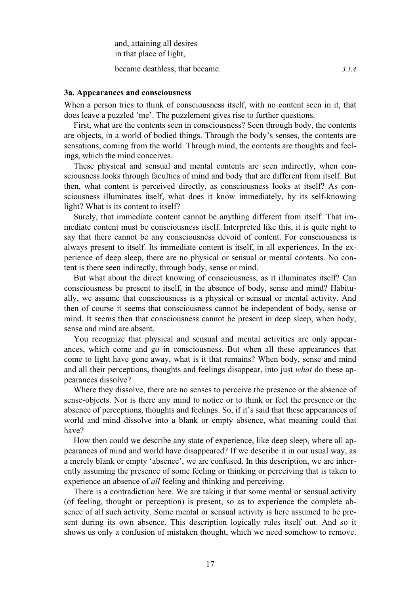and, attaining all desires in that place of light, became deathless, that became. *3.1.4* 

# <span id="page-16-0"></span>**3a. Appearances and consciousness**

When a person tries to think of consciousness itself, with no content seen in it, that does leave a puzzled 'me'. The puzzlement gives rise to further questions.

First, what are the contents seen in consciousness? Seen through body, the contents are objects, in a world of bodied things. Through the body's senses, the contents are sensations, coming from the world. Through mind, the contents are thoughts and feelings, which the mind conceives.

These physical and sensual and mental contents are seen indirectly, when consciousness looks through faculties of mind and body that are different from itself. But then, what content is perceived directly, as consciousness looks at itself? As consciousness illuminates itself, what does it know immediately, by its self-knowing light? What is its content to itself?

Surely, that immediate content cannot be anything different from itself. That immediate content must be consciousness itself. Interpreted like this, it is quite right to say that there cannot be any consciousness devoid of content. For consciousness is always present to itself. Its immediate content is itself, in all experiences. In the experience of deep sleep, there are no physical or sensual or mental contents. No content is there seen indirectly, through body, sense or mind.

But what about the direct knowing of consciousness, as it illuminates itself? Can consciousness be present to itself, in the absence of body, sense and mind? Habitually, we assume that consciousness is a physical or sensual or mental activity. And then of course it seems that consciousness cannot be independent of body, sense or mind. It seems then that consciousness cannot be present in deep sleep, when body, sense and mind are absent.

You recognize that physical and sensual and mental activities are only appearances, which come and go in consciousness. But when all these appearances that come to light have gone away, what is it that remains? When body, sense and mind and all their perceptions, thoughts and feelings disappear, into just *what* do these appearances dissolve?

Where they dissolve, there are no senses to perceive the presence or the absence of sense-objects. Nor is there any mind to notice or to think or feel the presence or the absence of perceptions, thoughts and feelings. So, if it's said that these appearances of world and mind dissolve into a blank or empty absence, what meaning could that have?

How then could we describe any state of experience, like deep sleep, where all appearances of mind and world have disappeared? If we describe it in our usual way, as a merely blank or empty 'absence', we are confused. In this description, we are inherently assuming the presence of some feeling or thinking or perceiving that is taken to experience an absence of *all* feeling and thinking and perceiving.

There is a contradiction here. We are taking it that some mental or sensual activity (of feeling, thought or perception) is present, so as to experience the complete absence of all such activity. Some mental or sensual activity is here assumed to be present during its own absence. This description logically rules itself out. And so it shows us only a confusion of mistaken thought, which we need somehow to remove.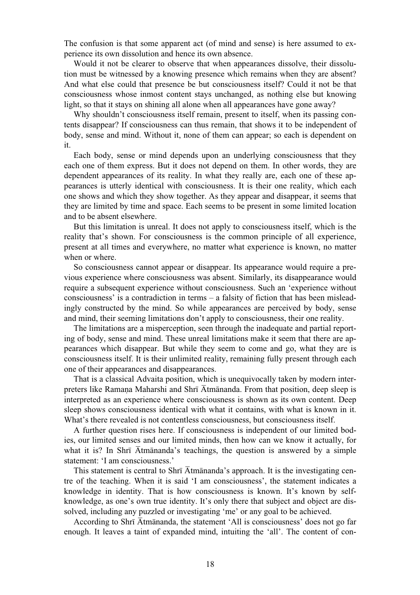The confusion is that some apparent act (of mind and sense) is here assumed to experience its own dissolution and hence its own absence.

Would it not be clearer to observe that when appearances dissolve, their dissolution must be witnessed by a knowing presence which remains when they are absent? And what else could that presence be but consciousness itself? Could it not be that consciousness whose inmost content stays unchanged, as nothing else but knowing light, so that it stays on shining all alone when all appearances have gone away?

Why shouldn't consciousness itself remain, present to itself, when its passing contents disappear? If consciousness can thus remain, that shows it to be independent of body, sense and mind. Without it, none of them can appear; so each is dependent on it.

Each body, sense or mind depends upon an underlying consciousness that they each one of them express. But it does not depend on them. In other words, they are dependent appearances of its reality. In what they really are, each one of these appearances is utterly identical with consciousness. It is their one reality, which each one shows and which they show together. As they appear and disappear, it seems that they are limited by time and space. Each seems to be present in some limited location and to be absent elsewhere.

But this limitation is unreal. It does not apply to consciousness itself, which is the reality that's shown. For consciousness is the common principle of all experience, present at all times and everywhere, no matter what experience is known, no matter when or where.

So consciousness cannot appear or disappear. Its appearance would require a previous experience where consciousness was absent. Similarly, its disappearance would require a subsequent experience without consciousness. Such an 'experience without consciousness' is a contradiction in terms – a falsity of fiction that has been misleadingly constructed by the mind. So while appearances are perceived by body, sense and mind, their seeming limitations don't apply to consciousness, their one reality.

The limitations are a misperception, seen through the inadequate and partial reporting of body, sense and mind. These unreal limitations make it seem that there are appearances which disappear. But while they seem to come and go, what they are is consciousness itself. It is their unlimited reality, remaining fully present through each one of their appearances and disappearances.

That is a classical Advaita position, which is unequivocally taken by modern interpreters like Ramana Maharshi and Shri Atmananda. From that position, deep sleep is interpreted as an experience where consciousness is shown as its own content. Deep sleep shows consciousness identical with what it contains, with what is known in it. What's there revealed is not contentless consciousness, but consciousness itself.

A further question rises here. If consciousness is independent of our limited bodies, our limited senses and our limited minds, then how can we know it actually, for what it is? In Shrī  $\overline{A}$ tmānanda's teachings, the question is answered by a simple statement: 'I am consciousness.'

This statement is central to Shri Atmananda's approach. It is the investigating centre of the teaching. When it is said 'I am consciousness', the statement indicates a knowledge in identity. That is how consciousness is known. It's known by selfknowledge, as one's own true identity. It's only there that subject and object are dissolved, including any puzzled or investigating 'me' or any goal to be achieved.

According to Shri Atmananda, the statement 'All is consciousness' does not go far enough. It leaves a taint of expanded mind, intuiting the 'all'. The content of con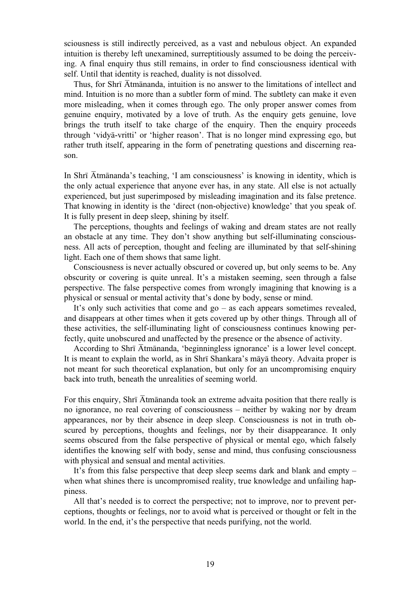sciousness is still indirectly perceived, as a vast and nebulous object. An expanded intuition is thereby left unexamined, surreptitiously assumed to be doing the perceiving. A final enquiry thus still remains, in order to find consciousness identical with self. Until that identity is reached, duality is not dissolved.

Thus, for Shri Atmananda, intuition is no answer to the limitations of intellect and mind. Intuition is no more than a subtler form of mind. The subtlety can make it even more misleading, when it comes through ego. The only proper answer comes from genuine enquiry, motivated by a love of truth. As the enquiry gets genuine, love brings the truth itself to take charge of the enquiry. Then the enquiry proceeds through 'vidya-vritti' or 'higher reason'. That is no longer mind expressing ego, but rather truth itself, appearing in the form of penetrating questions and discerning reason.

In Shri Atmananda's teaching, 'I am consciousness' is knowing in identity, which is the only actual experience that anyone ever has, in any state. All else is not actually experienced, but just superimposed by misleading imagination and its false pretence. That knowing in identity is the 'direct (non-objective) knowledge' that you speak of. It is fully present in deep sleep, shining by itself.

The perceptions, thoughts and feelings of waking and dream states are not really an obstacle at any time. They don't show anything but self-illuminating consciousness. All acts of perception, thought and feeling are illuminated by that self-shining light. Each one of them shows that same light.

Consciousness is never actually obscured or covered up, but only seems to be. Any obscurity or covering is quite unreal. It's a mistaken seeming, seen through a false perspective. The false perspective comes from wrongly imagining that knowing is a physical or sensual or mental activity that's done by body, sense or mind.

It's only such activities that come and go – as each appears sometimes revealed, and disappears at other times when it gets covered up by other things. Through all of these activities, the self-illuminating light of consciousness continues knowing perfectly, quite unobscured and unaffected by the presence or the absence of activity.

According to Shri Atmananda, 'beginningless ignorance' is a lower level concept. It is meant to explain the world, as in Shrī Shankara's māyā theory. Advaita proper is not meant for such theoretical explanation, but only for an uncompromising enquiry back into truth, beneath the unrealities of seeming world.

For this enquiry, Shri Atmananda took an extreme advaita position that there really is no ignorance, no real covering of consciousness – neither by waking nor by dream appearances, nor by their absence in deep sleep. Consciousness is not in truth obscured by perceptions, thoughts and feelings, nor by their disappearance. It only seems obscured from the false perspective of physical or mental ego, which falsely identifies the knowing self with body, sense and mind, thus confusing consciousness with physical and sensual and mental activities.

It's from this false perspective that deep sleep seems dark and blank and empty – when what shines there is uncompromised reality, true knowledge and unfailing happiness.

All that's needed is to correct the perspective; not to improve, nor to prevent perceptions, thoughts or feelings, nor to avoid what is perceived or thought or felt in the world. In the end, it's the perspective that needs purifying, not the world.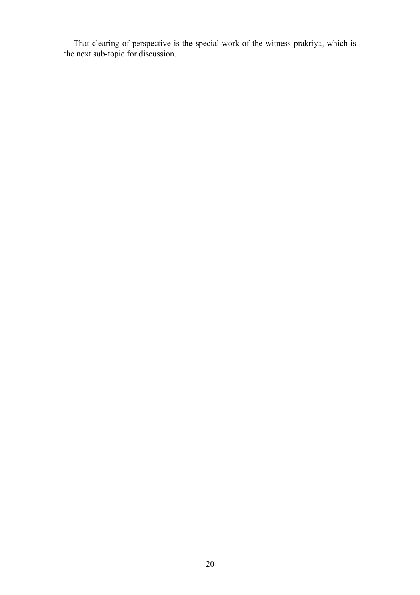That clearing of perspective is the special work of the witness prakriya, which is the next sub-topic for discussion.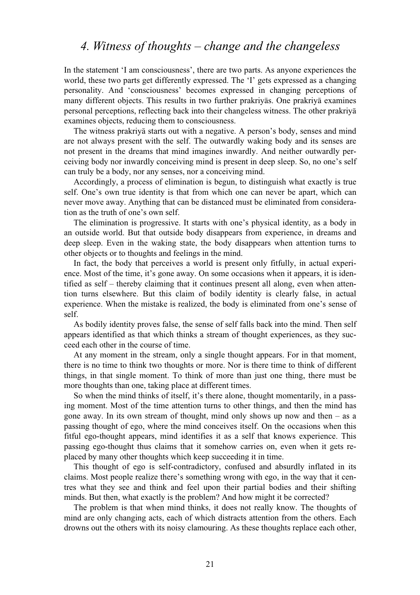# <span id="page-20-0"></span>*4. Witness of thoughts – change and the changeless*

In the statement 'I am consciousness', there are two parts. As anyone experiences the world, these two parts get differently expressed. The 'I' gets expressed as a changing personality. And 'consciousness' becomes expressed in changing perceptions of many different objects. This results in two further prakriyas. One prakriya examines personal perceptions, reflecting back into their changeless witness. The other prakriya examines objects, reducing them to consciousness.

The witness prakriya starts out with a negative. A person's body, senses and mind are not always present with the self. The outwardly waking body and its senses are not present in the dreams that mind imagines inwardly. And neither outwardly perceiving body nor inwardly conceiving mind is present in deep sleep. So, no one's self can truly be a body, nor any senses, nor a conceiving mind.

Accordingly, a process of elimination is begun, to distinguish what exactly is true self. One's own true identity is that from which one can never be apart, which can never move away. Anything that can be distanced must be eliminated from consideration as the truth of one's own self.

The elimination is progressive. It starts with one's physical identity, as a body in an outside world. But that outside body disappears from experience, in dreams and deep sleep. Even in the waking state, the body disappears when attention turns to other objects or to thoughts and feelings in the mind.

In fact, the body that perceives a world is present only fitfully, in actual experience. Most of the time, it's gone away. On some occasions when it appears, it is identified as self – thereby claiming that it continues present all along, even when attention turns elsewhere. But this claim of bodily identity is clearly false, in actual experience. When the mistake is realized, the body is eliminated from one's sense of self.

As bodily identity proves false, the sense of self falls back into the mind. Then self appears identified as that which thinks a stream of thought experiences, as they succeed each other in the course of time.

At any moment in the stream, only a single thought appears. For in that moment, there is no time to think two thoughts or more. Nor is there time to think of different things, in that single moment. To think of more than just one thing, there must be more thoughts than one, taking place at different times.

So when the mind thinks of itself, it's there alone, thought momentarily, in a passing moment. Most of the time attention turns to other things, and then the mind has gone away. In its own stream of thought, mind only shows up now and then – as a passing thought of ego, where the mind conceives itself. On the occasions when this fitful ego-thought appears, mind identifies it as a self that knows experience. This passing ego-thought thus claims that it somehow carries on, even when it gets replaced by many other thoughts which keep succeeding it in time.

This thought of ego is self-contradictory, confused and absurdly inflated in its claims. Most people realize there's something wrong with ego, in the way that it centres what they see and think and feel upon their partial bodies and their shifting minds. But then, what exactly is the problem? And how might it be corrected?

The problem is that when mind thinks, it does not really know. The thoughts of mind are only changing acts, each of which distracts attention from the others. Each drowns out the others with its noisy clamouring. As these thoughts replace each other,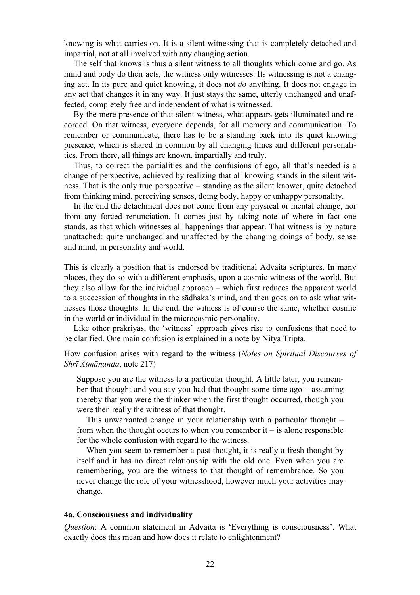<span id="page-21-0"></span>knowing is what carries on. It is a silent witnessing that is completely detached and impartial, not at all involved with any changing action.

The self that knows is thus a silent witness to all thoughts which come and go. As mind and body do their acts, the witness only witnesses. Its witnessing is not a changing act. In its pure and quiet knowing, it does not *do* anything. It does not engage in any act that changes it in any way. It just stays the same, utterly unchanged and unaffected, completely free and independent of what is witnessed.

By the mere presence of that silent witness, what appears gets illuminated and recorded. On that witness, everyone depends, for all memory and communication. To remember or communicate, there has to be a standing back into its quiet knowing presence, which is shared in common by all changing times and different personalities. From there, all things are known, impartially and truly.

Thus, to correct the partialities and the confusions of ego, all that's needed is a change of perspective, achieved by realizing that all knowing stands in the silent witness. That is the only true perspective – standing as the silent knower, quite detached from thinking mind, perceiving senses, doing body, happy or unhappy personality.

In the end the detachment does not come from any physical or mental change, nor from any forced renunciation. It comes just by taking note of where in fact one stands, as that which witnesses all happenings that appear. That witness is by nature unattached: quite unchanged and unaffected by the changing doings of body, sense and mind, in personality and world.

This is clearly a position that is endorsed by traditional Advaita scriptures. In many places, they do so with a different emphasis, upon a cosmic witness of the world. But they also allow for the individual approach – which first reduces the apparent world to a succession of thoughts in the sadhaka's mind, and then goes on to ask what witnesses those thoughts. In the end, the witness is of course the same, whether cosmic in the world or individual in the microcosmic personality.

Like other prakriyas, the 'witness' approach gives rise to confusions that need to be clarified. One main confusion is explained in a note by Nitya Tripta.

How confusion arises with regard to the witness (*Notes on Spiritual Discourses of Shri Atmananda*, note 217)

Suppose you are the witness to a particular thought. A little later, you remember that thought and you say you had that thought some time ago – assuming thereby that you were the thinker when the first thought occurred, though you were then really the witness of that thought.

This unwarranted change in your relationship with a particular thought – from when the thought occurs to when you remember it  $-$  is alone responsible for the whole confusion with regard to the witness.

When you seem to remember a past thought, it is really a fresh thought by itself and it has no direct relationship with the old one. Even when you are remembering, you are the witness to that thought of remembrance. So you never change the role of your witnesshood, however much your activities may change.

# **4a. Consciousness and individuality**

*Question*: A common statement in Advaita is 'Everything is consciousness'. What exactly does this mean and how does it relate to enlightenment?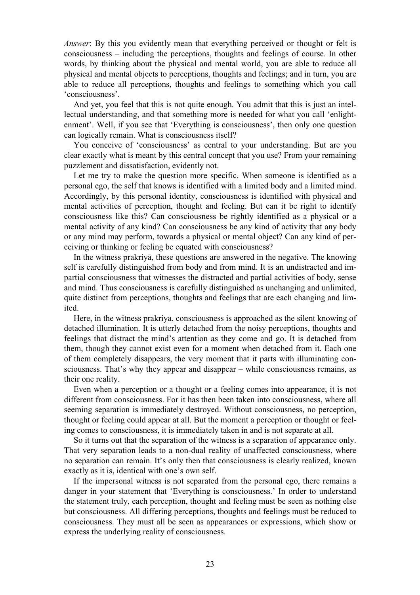*Answer*: By this you evidently mean that everything perceived or thought or felt is consciousness – including the perceptions, thoughts and feelings of course. In other words, by thinking about the physical and mental world, you are able to reduce all physical and mental objects to perceptions, thoughts and feelings; and in turn, you are able to reduce all perceptions, thoughts and feelings to something which you call 'consciousness'.

And yet, you feel that this is not quite enough. You admit that this is just an intellectual understanding, and that something more is needed for what you call 'enlightenment'. Well, if you see that 'Everything is consciousness', then only one question can logically remain. What is consciousness itself?

You conceive of 'consciousness' as central to your understanding. But are you clear exactly what is meant by this central concept that you use? From your remaining puzzlement and dissatisfaction, evidently not.

Let me try to make the question more specific. When someone is identified as a personal ego, the self that knows is identified with a limited body and a limited mind. Accordingly, by this personal identity, consciousness is identified with physical and mental activities of perception, thought and feeling. But can it be right to identify consciousness like this? Can consciousness be rightly identified as a physical or a mental activity of any kind? Can consciousness be any kind of activity that any body or any mind may perform, towards a physical or mental object? Can any kind of perceiving or thinking or feeling be equated with consciousness?

In the witness prakriya, these questions are answered in the negative. The knowing self is carefully distinguished from body and from mind. It is an undistracted and impartial consciousness that witnesses the distracted and partial activities of body, sense and mind. Thus consciousness is carefully distinguished as unchanging and unlimited, quite distinct from perceptions, thoughts and feelings that are each changing and limited.

Here, in the witness prakriya, consciousness is approached as the silent knowing of detached illumination. It is utterly detached from the noisy perceptions, thoughts and feelings that distract the mind's attention as they come and go. It is detached from them, though they cannot exist even for a moment when detached from it. Each one of them completely disappears, the very moment that it parts with illuminating consciousness. That's why they appear and disappear – while consciousness remains, as their one reality.

Even when a perception or a thought or a feeling comes into appearance, it is not different from consciousness. For it has then been taken into consciousness, where all seeming separation is immediately destroyed. Without consciousness, no perception, thought or feeling could appear at all. But the moment a perception or thought or feeling comes to consciousness, it is immediately taken in and is not separate at all.

So it turns out that the separation of the witness is a separation of appearance only. That very separation leads to a non-dual reality of unaffected consciousness, where no separation can remain. It's only then that consciousness is clearly realized, known exactly as it is, identical with one's own self.

If the impersonal witness is not separated from the personal ego, there remains a danger in your statement that 'Everything is consciousness.' In order to understand the statement truly, each perception, thought and feeling must be seen as nothing else but consciousness. All differing perceptions, thoughts and feelings must be reduced to consciousness. They must all be seen as appearances or expressions, which show or express the underlying reality of consciousness.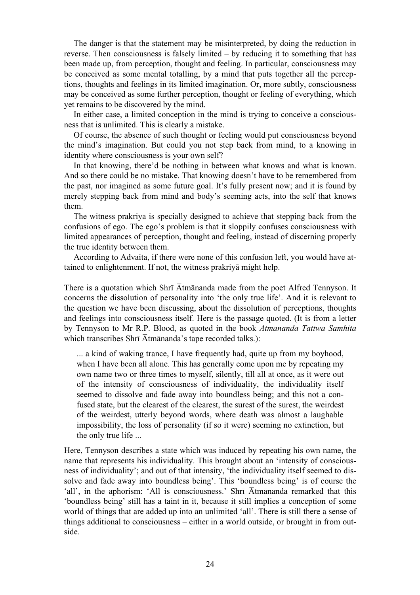The danger is that the statement may be misinterpreted, by doing the reduction in reverse. Then consciousness is falsely limited – by reducing it to something that has been made up, from perception, thought and feeling. In particular, consciousness may be conceived as some mental totalling, by a mind that puts together all the perceptions, thoughts and feelings in its limited imagination. Or, more subtly, consciousness may be conceived as some further perception, thought or feeling of everything, which yet remains to be discovered by the mind.

In either case, a limited conception in the mind is trying to conceive a consciousness that is unlimited. This is clearly a mistake.

Of course, the absence of such thought or feeling would put consciousness beyond the mind's imagination. But could you not step back from mind, to a knowing in identity where consciousness is your own self?

In that knowing, there'd be nothing in between what knows and what is known. And so there could be no mistake. That knowing doesn't have to be remembered from the past, nor imagined as some future goal. It's fully present now; and it is found by merely stepping back from mind and body's seeming acts, into the self that knows them.

The witness prakriya is specially designed to achieve that stepping back from the confusions of ego. The ego's problem is that it sloppily confuses consciousness with limited appearances of perception, thought and feeling, instead of discerning properly the true identity between them.

According to Advaita, if there were none of this confusion left, you would have attained to enlightenment. If not, the witness prakriya might help.

There is a quotation which Shrī Atmānanda made from the poet Alfred Tennyson. It concerns the dissolution of personality into 'the only true life'. And it is relevant to the question we have been discussing, about the dissolution of perceptions, thoughts and feelings into consciousness itself. Here is the passage quoted. (It is from a letter by Tennyson to Mr R.P. Blood, as quoted in the book *Atmananda Tattwa Samhita* which transcribes Shrī Ātmānanda's tape recorded talks.):

... a kind of waking trance, I have frequently had, quite up from my boyhood, when I have been all alone. This has generally come upon me by repeating my own name two or three times to myself, silently, till all at once, as it were out of the intensity of consciousness of individuality, the individuality itself seemed to dissolve and fade away into boundless being; and this not a confused state, but the clearest of the clearest, the surest of the surest, the weirdest of the weirdest, utterly beyond words, where death was almost a laughable impossibility, the loss of personality (if so it were) seeming no extinction, but the only true life ...

Here, Tennyson describes a state which was induced by repeating his own name, the name that represents his individuality. This brought about an 'intensity of consciousness of individuality'; and out of that intensity, 'the individuality itself seemed to dissolve and fade away into boundless being'. This 'boundless being' is of course the 'all', in the aphorism: 'All is consciousness.' Shrī Atmānanda remarked that this 'boundless being' still has a taint in it, because it still implies a conception of some world of things that are added up into an unlimited 'all'. There is still there a sense of things additional to consciousness – either in a world outside, or brought in from outside.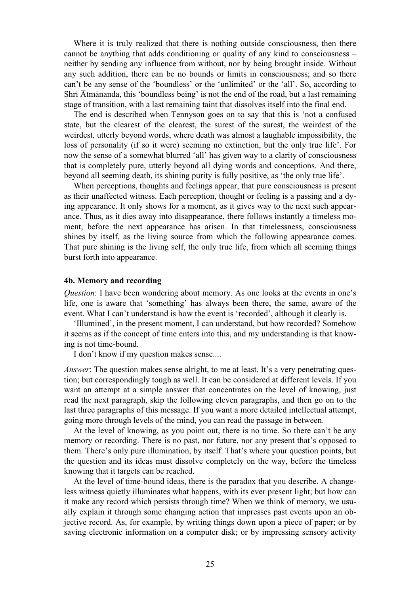<span id="page-24-0"></span>Where it is truly realized that there is nothing outside consciousness, then there cannot be anything that adds conditioning or quality of any kind to consciousness – neither by sending any influence from without, nor by being brought inside. Without any such addition, there can be no bounds or limits in consciousness; and so there can't be any sense of the 'boundless' or the 'unlimited' or the 'all'. So, according to Shrī  $\overline{A}$ tmānanda, this 'boundless being' is not the end of the road, but a last remaining stage of transition, with a last remaining taint that dissolves itself into the final end.

The end is described when Tennyson goes on to say that this is 'not a confused state, but the clearest of the clearest, the surest of the surest, the weirdest of the weirdest, utterly beyond words, where death was almost a laughable impossibility, the loss of personality (if so it were) seeming no extinction, but the only true life'. For now the sense of a somewhat blurred 'all' has given way to a clarity of consciousness that is completely pure, utterly beyond all dying words and conceptions. And there, beyond all seeming death, its shining purity is fully positive, as 'the only true life'.

When perceptions, thoughts and feelings appear, that pure consciousness is present as their unaffected witness. Each perception, thought or feeling is a passing and a dying appearance. It only shows for a moment, as it gives way to the next such appearance. Thus, as it dies away into disappearance, there follows instantly a timeless moment, before the next appearance has arisen. In that timelessness, consciousness shines by itself, as the living source from which the following appearance comes. That pure shining is the living self, the only true life, from which all seeming things burst forth into appearance.

#### **4b. Memory and recording**

*Question*: I have been wondering about memory. As one looks at the events in one's life, one is aware that 'something' has always been there, the same, aware of the event. What I can't understand is how the event is 'recorded', although it clearly is.

'Illumined', in the present moment, I can understand, but how recorded? Somehow it seems as if the concept of time enters into this, and my understanding is that knowing is not time-bound.

I don't know if my question makes sense....

*Answer*: The question makes sense alright, to me at least. It's a very penetrating question; but correspondingly tough as well. It can be considered at different levels. If you want an attempt at a simple answer that concentrates on the level of knowing, just read the next paragraph, skip the following eleven paragraphs, and then go on to the last three paragraphs of this message. If you want a more detailed intellectual attempt, going more through levels of the mind, you can read the passage in between.

At the level of knowing, as you point out, there is no time. So there can't be any memory or recording. There is no past, nor future, nor any present that's opposed to them. There's only pure illumination, by itself. That's where your question points, but the question and its ideas must dissolve completely on the way, before the timeless knowing that it targets can be reached.

At the level of time-bound ideas, there is the paradox that you describe. A changeless witness quietly illuminates what happens, with its ever present light; but how can it make any record which persists through time? When we think of memory, we usually explain it through some changing action that impresses past events upon an objective record. As, for example, by writing things down upon a piece of paper; or by saving electronic information on a computer disk; or by impressing sensory activity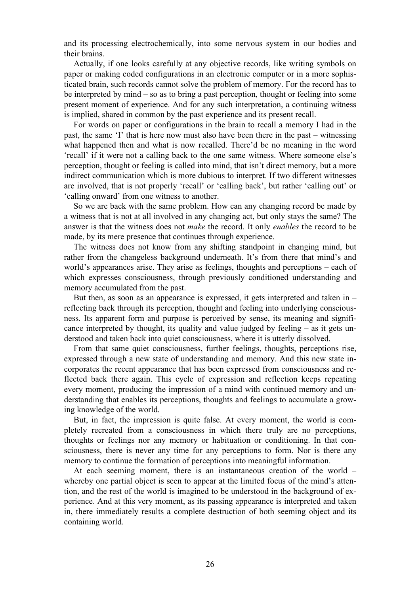and its processing electrochemically, into some nervous system in our bodies and their brains.

Actually, if one looks carefully at any objective records, like writing symbols on paper or making coded configurations in an electronic computer or in a more sophisticated brain, such records cannot solve the problem of memory. For the record has to be interpreted by mind – so as to bring a past perception, thought or feeling into some present moment of experience. And for any such interpretation, a continuing witness is implied, shared in common by the past experience and its present recall.

For words on paper or configurations in the brain to recall a memory I had in the past, the same 'I' that is here now must also have been there in the past – witnessing what happened then and what is now recalled. There'd be no meaning in the word 'recall' if it were not a calling back to the one same witness. Where someone else's perception, thought or feeling is called into mind, that isn't direct memory, but a more indirect communication which is more dubious to interpret. If two different witnesses are involved, that is not properly 'recall' or 'calling back', but rather 'calling out' or 'calling onward' from one witness to another.

So we are back with the same problem. How can any changing record be made by a witness that is not at all involved in any changing act, but only stays the same? The answer is that the witness does not *make* the record. It only *enables* the record to be made, by its mere presence that continues through experience.

The witness does not know from any shifting standpoint in changing mind, but rather from the changeless background underneath. It's from there that mind's and world's appearances arise. They arise as feelings, thoughts and perceptions – each of which expresses consciousness, through previously conditioned understanding and memory accumulated from the past.

But then, as soon as an appearance is expressed, it gets interpreted and taken in  $$ reflecting back through its perception, thought and feeling into underlying consciousness. Its apparent form and purpose is perceived by sense, its meaning and significance interpreted by thought, its quality and value judged by feeling  $-$  as it gets understood and taken back into quiet consciousness, where it is utterly dissolved.

From that same quiet consciousness, further feelings, thoughts, perceptions rise, expressed through a new state of understanding and memory. And this new state incorporates the recent appearance that has been expressed from consciousness and reflected back there again. This cycle of expression and reflection keeps repeating every moment, producing the impression of a mind with continued memory and understanding that enables its perceptions, thoughts and feelings to accumulate a growing knowledge of the world.

But, in fact, the impression is quite false. At every moment, the world is completely recreated from a consciousness in which there truly are no perceptions, thoughts or feelings nor any memory or habituation or conditioning. In that consciousness, there is never any time for any perceptions to form. Nor is there any memory to continue the formation of perceptions into meaningful information.

At each seeming moment, there is an instantaneous creation of the world – whereby one partial object is seen to appear at the limited focus of the mind's attention, and the rest of the world is imagined to be understood in the background of experience. And at this very moment, as its passing appearance is interpreted and taken in, there immediately results a complete destruction of both seeming object and its containing world.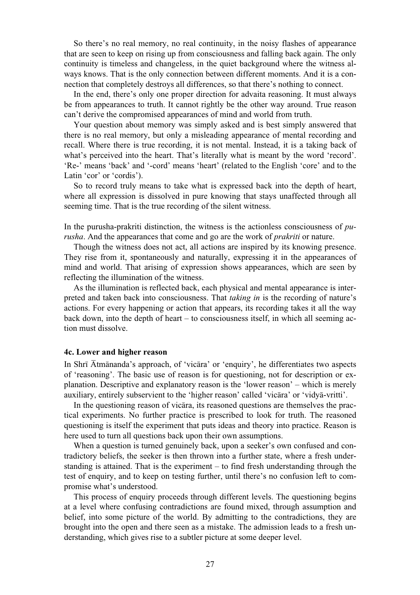<span id="page-26-0"></span>So there's no real memory, no real continuity, in the noisy flashes of appearance that are seen to keep on rising up from consciousness and falling back again. The only continuity is timeless and changeless, in the quiet background where the witness always knows. That is the only connection between different moments. And it is a connection that completely destroys all differences, so that there's nothing to connect.

In the end, there's only one proper direction for advaita reasoning. It must always be from appearances to truth. It cannot rightly be the other way around. True reason can't derive the compromised appearances of mind and world from truth.

Your question about memory was simply asked and is best simply answered that there is no real memory, but only a misleading appearance of mental recording and recall. Where there is true recording, it is not mental. Instead, it is a taking back of what's perceived into the heart. That's literally what is meant by the word 'record'. 'Re-' means 'back' and '-cord' means 'heart' (related to the English 'core' and to the Latin 'cor' or 'cordis').

So to record truly means to take what is expressed back into the depth of heart, where all expression is dissolved in pure knowing that stays unaffected through all seeming time. That is the true recording of the silent witness.

In the purusha-prakriti distinction, the witness is the actionless consciousness of *purusha*. And the appearances that come and go are the work of *prakriti* or nature.

Though the witness does not act, all actions are inspired by its knowing presence. They rise from it, spontaneously and naturally, expressing it in the appearances of mind and world. That arising of expression shows appearances, which are seen by reflecting the illumination of the witness.

As the illumination is reflected back, each physical and mental appearance is interpreted and taken back into consciousness. That *taking in* is the recording of nature's actions. For every happening or action that appears, its recording takes it all the way back down, into the depth of heart – to consciousness itself, in which all seeming action must dissolve.

# **4c. Lower and higher reason**

In Shrī  $\overline{A}$ tmānanda's approach, of 'vicāra' or 'enquiry', he differentiates two aspects of 'reasoning'. The basic use of reason is for questioning, not for description or explanation. Descriptive and explanatory reason is the 'lower reason' – which is merely auxiliary, entirely subservient to the 'higher reason' called 'vicara' or 'vidya-vritti'.

In the questioning reason of vicara, its reasoned questions are themselves the practical experiments. No further practice is prescribed to look for truth. The reasoned questioning is itself the experiment that puts ideas and theory into practice. Reason is here used to turn all questions back upon their own assumptions.

When a question is turned genuinely back, upon a seeker's own confused and contradictory beliefs, the seeker is then thrown into a further state, where a fresh understanding is attained. That is the experiment – to find fresh understanding through the test of enquiry, and to keep on testing further, until there's no confusion left to compromise what's understood.

This process of enquiry proceeds through different levels. The questioning begins at a level where confusing contradictions are found mixed, through assumption and belief, into some picture of the world. By admitting to the contradictions, they are brought into the open and there seen as a mistake. The admission leads to a fresh understanding, which gives rise to a subtler picture at some deeper level.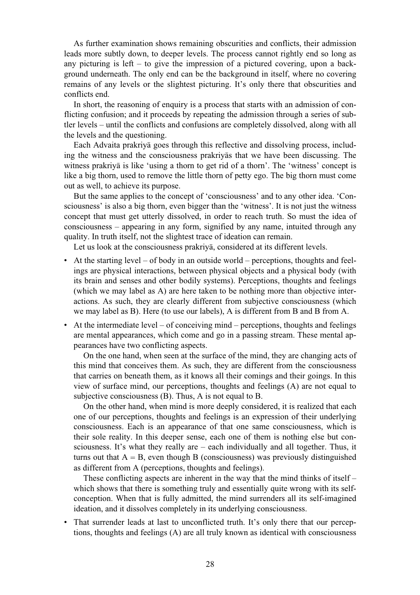As further examination shows remaining obscurities and conflicts, their admission leads more subtly down, to deeper levels. The process cannot rightly end so long as any picturing is left – to give the impression of a pictured covering, upon a background underneath. The only end can be the background in itself, where no covering remains of any levels or the slightest picturing. It's only there that obscurities and conflicts end.

In short, the reasoning of enquiry is a process that starts with an admission of conflicting confusion; and it proceeds by repeating the admission through a series of subtler levels – until the conflicts and confusions are completely dissolved, along with all the levels and the questioning.

Each Advaita prakriya goes through this reflective and dissolving process, including the witness and the consciousness prakriyas that we have been discussing. The witness prakriya is like 'using a thorn to get rid of a thorn'. The 'witness' concept is like a big thorn, used to remove the little thorn of petty ego. The big thorn must come out as well, to achieve its purpose.

But the same applies to the concept of 'consciousness' and to any other idea. 'Consciousness' is also a big thorn, even bigger than the 'witness'. It is not just the witness concept that must get utterly dissolved, in order to reach truth. So must the idea of consciousness – appearing in any form, signified by any name, intuited through any quality. In truth itself, not the slightest trace of ideation can remain.

Let us look at the consciousness prakriya, considered at its different levels.

- At the starting level of body in an outside world perceptions, thoughts and feelings are physical interactions, between physical objects and a physical body (with its brain and senses and other bodily systems). Perceptions, thoughts and feelings (which we may label as A) are here taken to be nothing more than objective interactions. As such, they are clearly different from subjective consciousness (which we may label as B). Here (to use our labels), A is different from B and B from A.
- At the intermediate level of conceiving mind perceptions, thoughts and feelings are mental appearances, which come and go in a passing stream. These mental appearances have two conflicting aspects.

On the one hand, when seen at the surface of the mind, they are changing acts of this mind that conceives them. As such, they are different from the consciousness that carries on beneath them, as it knows all their comings and their goings. In this view of surface mind, our perceptions, thoughts and feelings (A) are not equal to subjective consciousness (B). Thus, A is not equal to B.

On the other hand, when mind is more deeply considered, it is realized that each one of our perceptions, thoughts and feelings is an expression of their underlying consciousness. Each is an appearance of that one same consciousness, which is their sole reality. In this deeper sense, each one of them is nothing else but consciousness. It's what they really are – each individually and all together. Thus, it turns out that  $A = B$ , even though B (consciousness) was previously distinguished as different from A (perceptions, thoughts and feelings).

These conflicting aspects are inherent in the way that the mind thinks of itself – which shows that there is something truly and essentially quite wrong with its selfconception. When that is fully admitted, the mind surrenders all its self-imagined ideation, and it dissolves completely in its underlying consciousness.

That surrender leads at last to unconflicted truth. It's only there that our perceptions, thoughts and feelings (A) are all truly known as identical with consciousness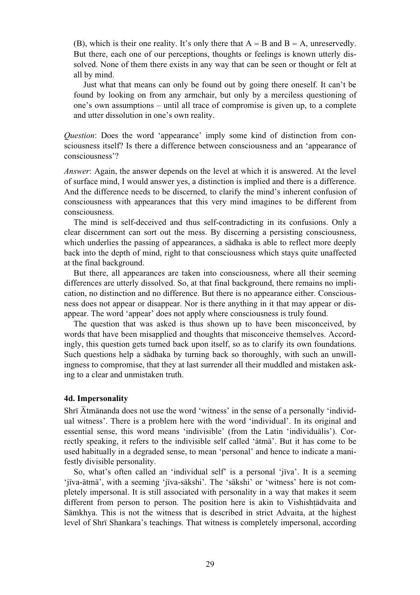<span id="page-28-0"></span>(B), which is their one reality. It's only there that  $A = B$  and  $B = A$ , unreservedly. But there, each one of our perceptions, thoughts or feelings is known utterly dissolved. None of them there exists in any way that can be seen or thought or felt at all by mind.

Just what that means can only be found out by going there oneself. It can't be found by looking on from any armchair, but only by a merciless questioning of one's own assumptions – until all trace of compromise is given up, to a complete and utter dissolution in one's own reality.

*Question*: Does the word 'appearance' imply some kind of distinction from consciousness itself? Is there a difference between consciousness and an 'appearance of consciousness'?

*Answer*: Again, the answer depends on the level at which it is answered. At the level of surface mind, I would answer yes, a distinction is implied and there is a difference. And the difference needs to be discerned, to clarify the mind's inherent confusion of consciousness with appearances that this very mind imagines to be different from consciousness.

The mind is self-deceived and thus self-contradicting in its confusions. Only a clear discernment can sort out the mess. By discerning a persisting consciousness, which underlies the passing of appearances, a sadhaka is able to reflect more deeply back into the depth of mind, right to that consciousness which stays quite unaffected at the final background.

But there, all appearances are taken into consciousness, where all their seeming differences are utterly dissolved. So, at that final background, there remains no implication, no distinction and no difference. But there is no appearance either. Consciousness does not appear or disappear. Nor is there anything in it that may appear or disappear. The word 'appear' does not apply where consciousness is truly found.

The question that was asked is thus shown up to have been misconceived, by words that have been misapplied and thoughts that misconceive themselves. Accordingly, this question gets turned back upon itself, so as to clarify its own foundations. Such questions help a sadhaka by turning back so thoroughly, with such an unwillingness to compromise, that they at last surrender all their muddled and mistaken asking to a clear and unmistaken truth.

# **4d. Impersonality**

Shri Atmananda does not use the word 'witness' in the sense of a personally 'individual witness'. There is a problem here with the word 'individual'. In its original and essential sense, this word means 'indivisible' (from the Latin 'individualis'). Correctly speaking, it refers to the indivisible self called 'atma'. But it has come to be used habitually in a degraded sense, to mean 'personal' and hence to indicate a manifestly divisible personality.

So, what's often called an 'individual self' is a personal 'jiva'. It is a seeming 'jiva-atma', with a seeming 'jiva-sakshi'. The 'sakshi' or 'witness' here is not completely impersonal. It is still associated with personality in a way that makes it seem different from person to person. The position here is akin to Vishishtadvaita and Samkhya. This is not the witness that is described in strict Advaita, at the highest level of Shri Shankara's teachings. That witness is completely impersonal, according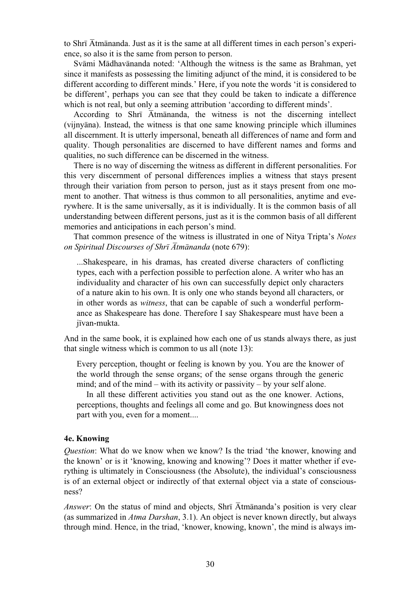<span id="page-29-0"></span>to Shri Atmananda. Just as it is the same at all different times in each person's experience, so also it is the same from person to person.

Svami Madhavananda noted: 'Although the witness is the same as Brahman, yet since it manifests as possessing the limiting adjunct of the mind, it is considered to be different according to different minds.' Here, if you note the words 'it is considered to be different', perhaps you can see that they could be taken to indicate a difference which is not real, but only a seeming attribution 'according to different minds'.

According to Shri Atmananda, the witness is not the discerning intellect (vijnyana). Instead, the witness is that one same knowing principle which illumines all discernment. It is utterly impersonal, beneath all differences of name and form and quality. Though personalities are discerned to have different names and forms and qualities, no such difference can be discerned in the witness.

There is no way of discerning the witness as different in different personalities. For this very discernment of personal differences implies a witness that stays present through their variation from person to person, just as it stays present from one moment to another. That witness is thus common to all personalities, anytime and everywhere. It is the same universally, as it is individually. It is the common basis of all understanding between different persons, just as it is the common basis of all different memories and anticipations in each person's mind.

That common presence of the witness is illustrated in one of Nitya Tripta's *Notes on Spiritual Discourses of Shri Atmananda* (note 679):

...Shakespeare, in his dramas, has created diverse characters of conflicting types, each with a perfection possible to perfection alone. A writer who has an individuality and character of his own can successfully depict only characters of a nature akin to his own. It is only one who stands beyond all characters, or in other words as *witness*, that can be capable of such a wonderful performance as Shakespeare has done. Therefore I say Shakespeare must have been a jivan-mukta.

And in the same book, it is explained how each one of us stands always there, as just that single witness which is common to us all (note 13):

Every perception, thought or feeling is known by you. You are the knower of the world through the sense organs; of the sense organs through the generic mind; and of the mind – with its activity or passivity – by your self alone.

In all these different activities you stand out as the one knower. Actions, perceptions, thoughts and feelings all come and go. But knowingness does not part with you, even for a moment....

# **4e. Knowing**

*Question*: What do we know when we know? Is the triad 'the knower, knowing and the known' or is it 'knowing, knowing and knowing'? Does it matter whether if everything is ultimately in Consciousness (the Absolute), the individual's consciousness is of an external object or indirectly of that external object via a state of consciousness?

*Answer*: On the status of mind and objects, Shrī Atmānanda's position is very clear (as summarized in *Atma Darshan*, 3.1). An object is never known directly, but always through mind. Hence, in the triad, 'knower, knowing, known', the mind is always im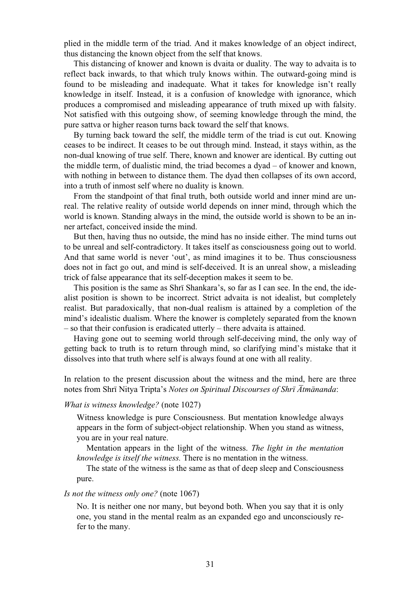plied in the middle term of the triad. And it makes knowledge of an object indirect, thus distancing the known object from the self that knows.

This distancing of knower and known is dvaita or duality. The way to advaita is to reflect back inwards, to that which truly knows within. The outward-going mind is found to be misleading and inadequate. What it takes for knowledge isn't really knowledge in itself. Instead, it is a confusion of knowledge with ignorance, which produces a compromised and misleading appearance of truth mixed up with falsity. Not satisfied with this outgoing show, of seeming knowledge through the mind, the pure sattva or higher reason turns back toward the self that knows.

By turning back toward the self, the middle term of the triad is cut out. Knowing ceases to be indirect. It ceases to be out through mind. Instead, it stays within, as the non-dual knowing of true self. There, known and knower are identical. By cutting out the middle term, of dualistic mind, the triad becomes a dyad – of knower and known, with nothing in between to distance them. The dyad then collapses of its own accord, into a truth of inmost self where no duality is known.

From the standpoint of that final truth, both outside world and inner mind are unreal. The relative reality of outside world depends on inner mind, through which the world is known. Standing always in the mind, the outside world is shown to be an inner artefact, conceived inside the mind.

But then, having thus no outside, the mind has no inside either. The mind turns out to be unreal and self-contradictory. It takes itself as consciousness going out to world. And that same world is never 'out', as mind imagines it to be. Thus consciousness does not in fact go out, and mind is self-deceived. It is an unreal show, a misleading trick of false appearance that its self-deception makes it seem to be.

This position is the same as Shri Shankara's, so far as I can see. In the end, the idealist position is shown to be incorrect. Strict advaita is not idealist, but completely realist. But paradoxically, that non-dual realism is attained by a completion of the mind's idealistic dualism. Where the knower is completely separated from the known – so that their confusion is eradicated utterly – there advaita is attained.

Having gone out to seeming world through self-deceiving mind, the only way of getting back to truth is to return through mind, so clarifying mind's mistake that it dissolves into that truth where self is always found at one with all reality.

In relation to the present discussion about the witness and the mind, here are three notes from Shri Nitya Tripta's *Notes on Spiritual Discourses of Shri Atmananda*:

#### *What is witness knowledge?* (note 1027)

Witness knowledge is pure Consciousness. But mentation knowledge always appears in the form of subject-object relationship. When you stand as witness, you are in your real nature.

Mentation appears in the light of the witness. *The light in the mentation knowledge is itself the witness.* There is no mentation in the witness.

The state of the witness is the same as that of deep sleep and Consciousness pure.

#### *Is not the witness only one?* (note 1067)

No. It is neither one nor many, but beyond both. When you say that it is only one, you stand in the mental realm as an expanded ego and unconsciously refer to the many.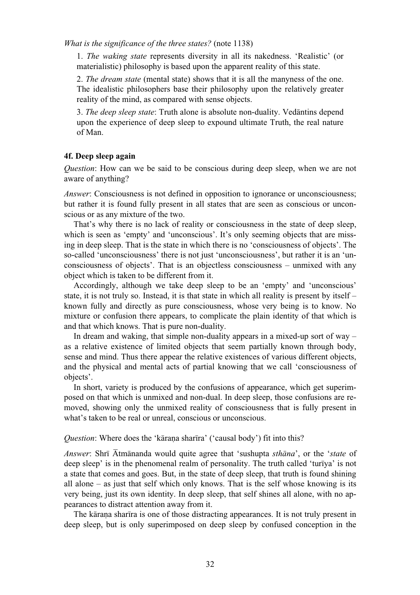<span id="page-31-0"></span>*What is the significance of the three states?* (note 1138)

1. *The waking state* represents diversity in all its nakedness. 'Realistic' (or materialistic) philosophy is based upon the apparent reality of this state.

2. *The dream state* (mental state) shows that it is all the manyness of the one. The idealistic philosophers base their philosophy upon the relatively greater reality of the mind, as compared with sense objects.

3. *The deep sleep state*: Truth alone is absolute non-duality. Vedantins depend upon the experience of deep sleep to expound ultimate Truth, the real nature of Man.

#### **4f. Deep sleep again**

*Question*: How can we be said to be conscious during deep sleep, when we are not aware of anything?

*Answer*: Consciousness is not defined in opposition to ignorance or unconsciousness; but rather it is found fully present in all states that are seen as conscious or unconscious or as any mixture of the two.

That's why there is no lack of reality or consciousness in the state of deep sleep, which is seen as 'empty' and 'unconscious'. It's only seeming objects that are missing in deep sleep. That is the state in which there is no 'consciousness of objects'. The so-called 'unconsciousness' there is not just 'unconsciousness', but rather it is an 'unconsciousness of objects'. That is an objectless consciousness – unmixed with any object which is taken to be different from it.

Accordingly, although we take deep sleep to be an 'empty' and 'unconscious' state, it is not truly so. Instead, it is that state in which all reality is present by itself – known fully and directly as pure consciousness, whose very being is to know. No mixture or confusion there appears, to complicate the plain identity of that which is and that which knows. That is pure non-duality.

In dream and waking, that simple non-duality appears in a mixed-up sort of way – as a relative existence of limited objects that seem partially known through body, sense and mind. Thus there appear the relative existences of various different objects, and the physical and mental acts of partial knowing that we call 'consciousness of objects'.

In short, variety is produced by the confusions of appearance, which get superimposed on that which is unmixed and non-dual. In deep sleep, those confusions are removed, showing only the unmixed reality of consciousness that is fully present in what's taken to be real or unreal, conscious or unconscious.

## *Question*: Where does the 'karana sharira' ('causal body') fit into this?

*Answer*: Shri Atmananda would quite agree that 'sushupta *sthana*', or the '*state* of deep sleep' is in the phenomenal realm of personality. The truth called 'turiya' is not a state that comes and goes. But, in the state of deep sleep, that truth is found shining all alone – as just that self which only knows. That is the self whose knowing is its very being, just its own identity. In deep sleep, that self shines all alone, with no appearances to distract attention away from it.

The karana sharira is one of those distracting appearances. It is not truly present in deep sleep, but is only superimposed on deep sleep by confused conception in the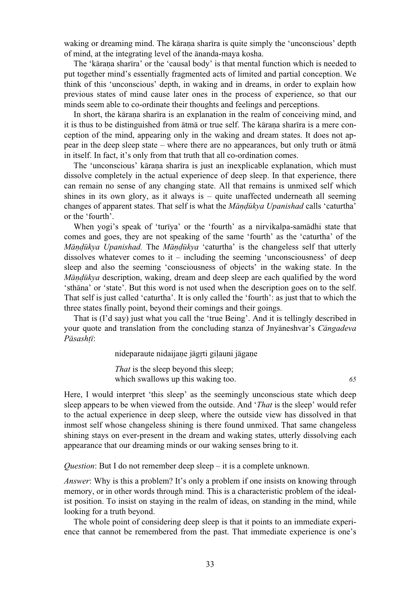waking or dreaming mind. The karana sharira is quite simply the 'unconscious' depth of mind, at the integrating level of the ananda-maya kosha.

The 'karana sharira' or the 'causal body' is that mental function which is needed to put together mind's essentially fragmented acts of limited and partial conception. We think of this 'unconscious' depth, in waking and in dreams, in order to explain how previous states of mind cause later ones in the process of experience, so that our minds seem able to co-ordinate their thoughts and feelings and perceptions.

In short, the karana sharira is an explanation in the realm of conceiving mind, and it is thus to be distinguished from atma or true self. The karana sharira is a mere conception of the mind, appearing only in the waking and dream states. It does not appear in the deep sleep state – where there are no appearances, but only truth or atma in itself. In fact, it's only from that truth that all co-ordination comes.

The 'unconscious' karana sharira is just an inexplicable explanation, which must dissolve completely in the actual experience of deep sleep. In that experience, there can remain no sense of any changing state. All that remains is unmixed self which shines in its own glory, as it always is  $-$  quite unaffected underneath all seeming changes of apparent states. That self is what the *Mandukya Upanishad* calls 'caturtha' or the 'fourth'.

When yogi's speak of 'turiya' or the 'fourth' as a nirvikalpa-samadhi state that comes and goes, they are not speaking of the same 'fourth' as the 'caturtha' of the *Mandukya Upanishad.* The *Mandukya* 'caturtha' is the changeless self that utterly dissolves whatever comes to it – including the seeming 'unconsciousness' of deep sleep and also the seeming 'consciousness of objects' in the waking state. In the *Māndūkya* description, waking, dream and deep sleep are each qualified by the word 'sthana' or 'state'. But this word is not used when the description goes on to the self. That self is just called 'caturtha'. It is only called the 'fourth': as just that to which the three states finally point, beyond their comings and their goings.

That is (I'd say) just what you call the 'true Being'. And it is tellingly described in your quote and translation from the concluding stanza of Jnyaneshvar's *Cangadeva Pasashti*:

nideparaute nidaijane jagrti gilauni jagane

*That* is the sleep beyond this sleep; which swallows up this waking too.  $65$ 

Here, I would interpret 'this sleep' as the seemingly unconscious state which deep sleep appears to be when viewed from the outside. And '*That* is the sleep' would refer to the actual experience in deep sleep, where the outside view has dissolved in that inmost self whose changeless shining is there found unmixed. That same changeless shining stays on ever-present in the dream and waking states, utterly dissolving each appearance that our dreaming minds or our waking senses bring to it.

*Question*: But I do not remember deep sleep – it is a complete unknown.

*Answer*: Why is this a problem? It's only a problem if one insists on knowing through memory, or in other words through mind. This is a characteristic problem of the idealist position. To insist on staying in the realm of ideas, on standing in the mind, while looking for a truth beyond.

The whole point of considering deep sleep is that it points to an immediate experience that cannot be remembered from the past. That immediate experience is one's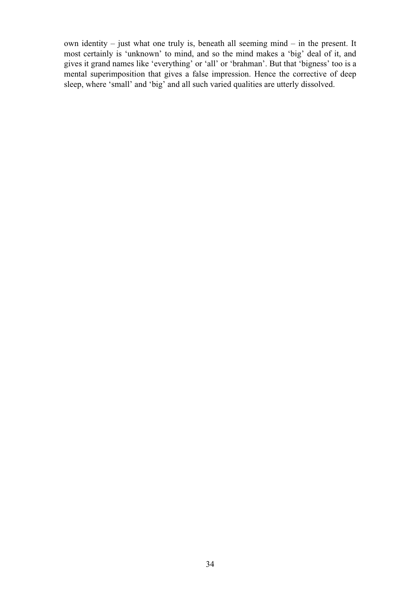own identity – just what one truly is, beneath all seeming mind – in the present. It most certainly is 'unknown' to mind, and so the mind makes a 'big' deal of it, and gives it grand names like 'everything' or 'all' or 'brahman'. But that 'bigness' too is a mental superimposition that gives a false impression. Hence the corrective of deep sleep, where 'small' and 'big' and all such varied qualities are utterly dissolved.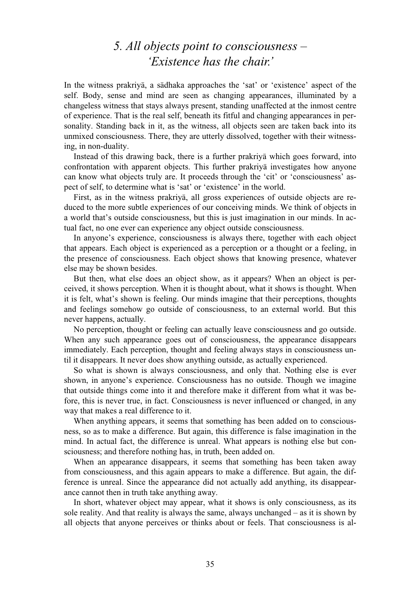# *5. All objects point to consciousness – 'Existence has the chair.'*

<span id="page-34-0"></span>In the witness prakriya, a sadhaka approaches the 'sat' or 'existence' aspect of the self. Body, sense and mind are seen as changing appearances, illuminated by a changeless witness that stays always present, standing unaffected at the inmost centre of experience. That is the real self, beneath its fitful and changing appearances in personality. Standing back in it, as the witness, all objects seen are taken back into its unmixed consciousness. There, they are utterly dissolved, together with their witnessing, in non-duality.

Instead of this drawing back, there is a further prakriya which goes forward, into confrontation with apparent objects. This further prakriya investigates how anyone can know what objects truly are. It proceeds through the 'cit' or 'consciousness' aspect of self, to determine what is 'sat' or 'existence' in the world.

First, as in the witness prakriya, all gross experiences of outside objects are reduced to the more subtle experiences of our conceiving minds. We think of objects in a world that's outside consciousness, but this is just imagination in our minds. In actual fact, no one ever can experience any object outside consciousness.

In anyone's experience, consciousness is always there, together with each object that appears. Each object is experienced as a perception or a thought or a feeling, in the presence of consciousness. Each object shows that knowing presence, whatever else may be shown besides.

But then, what else does an object show, as it appears? When an object is perceived, it shows perception. When it is thought about, what it shows is thought. When it is felt, what's shown is feeling. Our minds imagine that their perceptions, thoughts and feelings somehow go outside of consciousness, to an external world. But this never happens, actually.

No perception, thought or feeling can actually leave consciousness and go outside. When any such appearance goes out of consciousness, the appearance disappears immediately. Each perception, thought and feeling always stays in consciousness until it disappears. It never does show anything outside, as actually experienced.

So what is shown is always consciousness, and only that. Nothing else is ever shown, in anyone's experience. Consciousness has no outside. Though we imagine that outside things come into it and therefore make it different from what it was before, this is never true, in fact. Consciousness is never influenced or changed, in any way that makes a real difference to it.

When anything appears, it seems that something has been added on to consciousness, so as to make a difference. But again, this difference is false imagination in the mind. In actual fact, the difference is unreal. What appears is nothing else but consciousness; and therefore nothing has, in truth, been added on.

When an appearance disappears, it seems that something has been taken away from consciousness, and this again appears to make a difference. But again, the difference is unreal. Since the appearance did not actually add anything, its disappearance cannot then in truth take anything away.

In short, whatever object may appear, what it shows is only consciousness, as its sole reality. And that reality is always the same, always unchanged – as it is shown by all objects that anyone perceives or thinks about or feels. That consciousness is al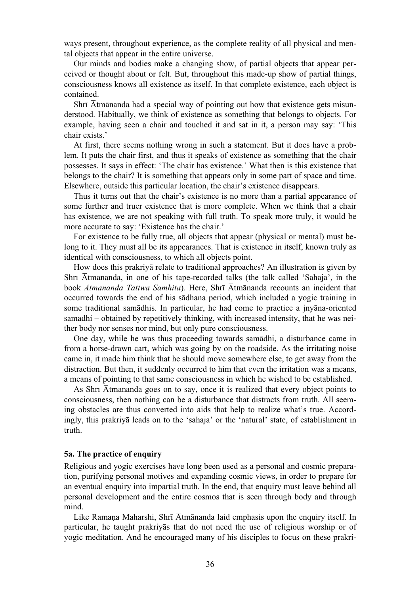<span id="page-35-0"></span>ways present, throughout experience, as the complete reality of all physical and mental objects that appear in the entire universe.

Our minds and bodies make a changing show, of partial objects that appear perceived or thought about or felt. But, throughout this made-up show of partial things, consciousness knows all existence as itself. In that complete existence, each object is contained.

Shri Atmananda had a special way of pointing out how that existence gets misunderstood. Habitually, we think of existence as something that belongs to objects. For example, having seen a chair and touched it and sat in it, a person may say: 'This chair exists.'

At first, there seems nothing wrong in such a statement. But it does have a problem. It puts the chair first, and thus it speaks of existence as something that the chair possesses. It says in effect: 'The chair has existence.' What then is this existence that belongs to the chair? It is something that appears only in some part of space and time. Elsewhere, outside this particular location, the chair's existence disappears.

Thus it turns out that the chair's existence is no more than a partial appearance of some further and truer existence that is more complete. When we think that a chair has existence, we are not speaking with full truth. To speak more truly, it would be more accurate to say: 'Existence has the chair.'

For existence to be fully true, all objects that appear (physical or mental) must belong to it. They must all be its appearances. That is existence in itself, known truly as identical with consciousness, to which all objects point.

How does this prakriya relate to traditional approaches? An illustration is given by Shri Atmananda, in one of his tape-recorded talks (the talk called 'Sahaja', in the book *Atmananda Tattwa Samhita*). Here, Shri Atmananda recounts an incident that occurred towards the end of his sadhana period, which included a yogic training in some traditional samadhis. In particular, he had come to practice a jnyana-oriented samadhi – obtained by repetitively thinking, with increased intensity, that he was neither body nor senses nor mind, but only pure consciousness.

One day, while he was thus proceeding towards samadhi, a disturbance came in from a horse-drawn cart, which was going by on the roadside. As the irritating noise came in, it made him think that he should move somewhere else, to get away from the distraction. But then, it suddenly occurred to him that even the irritation was a means, a means of pointing to that same consciousness in which he wished to be established.

As Shri Atmananda goes on to say, once it is realized that every object points to consciousness, then nothing can be a disturbance that distracts from truth. All seeming obstacles are thus converted into aids that help to realize what's true. Accordingly, this prakriya leads on to the 'sahaja' or the 'natural' state, of establishment in truth.

# **5a. The practice of enquiry**

Religious and yogic exercises have long been used as a personal and cosmic preparation, purifying personal motives and expanding cosmic views, in order to prepare for an eventual enquiry into impartial truth. In the end, that enquiry must leave behind all personal development and the entire cosmos that is seen through body and through mind.

Like Ramana Maharshi, Shri Atmananda laid emphasis upon the enquiry itself. In particular, he taught prakriyas that do not need the use of religious worship or of yogic meditation. And he encouraged many of his disciples to focus on these prakri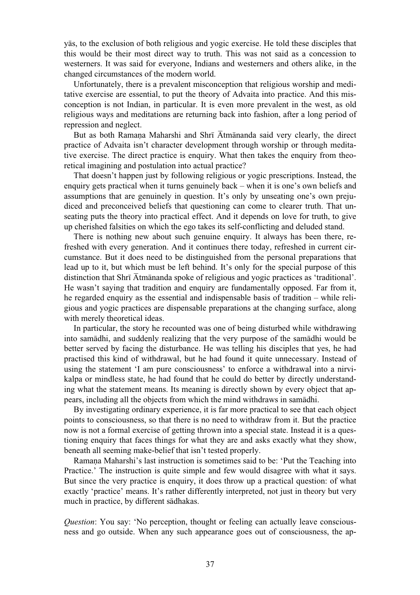yas, to the exclusion of both religious and yogic exercise. He told these disciples that this would be their most direct way to truth. This was not said as a concession to westerners. It was said for everyone, Indians and westerners and others alike, in the changed circumstances of the modern world.

Unfortunately, there is a prevalent misconception that religious worship and meditative exercise are essential, to put the theory of Advaita into practice. And this misconception is not Indian, in particular. It is even more prevalent in the west, as old religious ways and meditations are returning back into fashion, after a long period of repression and neglect.

But as both Ramana Maharshi and Shri Atmananda said very clearly, the direct practice of Advaita isn't character development through worship or through meditative exercise. The direct practice is enquiry. What then takes the enquiry from theoretical imagining and postulation into actual practice?

That doesn't happen just by following religious or yogic prescriptions. Instead, the enquiry gets practical when it turns genuinely back – when it is one's own beliefs and assumptions that are genuinely in question. It's only by unseating one's own prejudiced and preconceived beliefs that questioning can come to clearer truth. That unseating puts the theory into practical effect. And it depends on love for truth, to give up cherished falsities on which the ego takes its self-conflicting and deluded stand.

There is nothing new about such genuine enquiry. It always has been there, refreshed with every generation. And it continues there today, refreshed in current circumstance. But it does need to be distinguished from the personal preparations that lead up to it, but which must be left behind. It's only for the special purpose of this distinction that Shri Atmananda spoke of religious and yogic practices as 'traditional'. He wasn't saying that tradition and enquiry are fundamentally opposed. Far from it, he regarded enquiry as the essential and indispensable basis of tradition – while religious and yogic practices are dispensable preparations at the changing surface, along with merely theoretical ideas.

In particular, the story he recounted was one of being disturbed while withdrawing into samadhi, and suddenly realizing that the very purpose of the samadhi would be better served by facing the disturbance. He was telling his disciples that yes, he had practised this kind of withdrawal, but he had found it quite unnecessary. Instead of using the statement 'I am pure consciousness' to enforce a withdrawal into a nirvikalpa or mindless state, he had found that he could do better by directly understanding what the statement means. Its meaning is directly shown by every object that appears, including all the objects from which the mind withdraws in samadhi.

By investigating ordinary experience, it is far more practical to see that each object points to consciousness, so that there is no need to withdraw from it. But the practice now is not a formal exercise of getting thrown into a special state. Instead it is a questioning enquiry that faces things for what they are and asks exactly what they show, beneath all seeming make-belief that isn't tested properly.

Ramana Maharshi's last instruction is sometimes said to be: 'Put the Teaching into Practice.' The instruction is quite simple and few would disagree with what it says. But since the very practice is enquiry, it does throw up a practical question: of what exactly 'practice' means. It's rather differently interpreted, not just in theory but very much in practice, by different sadhakas.

*Question*: You say: 'No perception, thought or feeling can actually leave consciousness and go outside. When any such appearance goes out of consciousness, the ap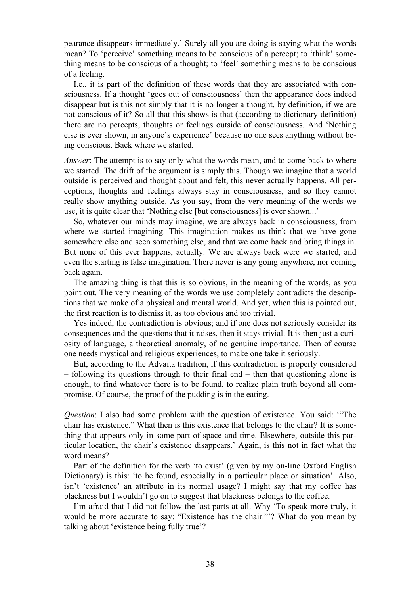pearance disappears immediately.' Surely all you are doing is saying what the words mean? To 'perceive' something means to be conscious of a percept; to 'think' something means to be conscious of a thought; to 'feel' something means to be conscious of a feeling.

I.e., it is part of the definition of these words that they are associated with consciousness. If a thought 'goes out of consciousness' then the appearance does indeed disappear but is this not simply that it is no longer a thought, by definition, if we are not conscious of it? So all that this shows is that (according to dictionary definition) there are no percepts, thoughts or feelings outside of consciousness. And 'Nothing else is ever shown, in anyone's experience' because no one sees anything without being conscious. Back where we started.

*Answer*: The attempt is to say only what the words mean, and to come back to where we started. The drift of the argument is simply this. Though we imagine that a world outside is perceived and thought about and felt, this never actually happens. All perceptions, thoughts and feelings always stay in consciousness, and so they cannot really show anything outside. As you say, from the very meaning of the words we use, it is quite clear that 'Nothing else [but consciousness] is ever shown...'

So, whatever our minds may imagine, we are always back in consciousness, from where we started imagining. This imagination makes us think that we have gone somewhere else and seen something else, and that we come back and bring things in. But none of this ever happens, actually. We are always back were we started, and even the starting is false imagination. There never is any going anywhere, nor coming back again.

The amazing thing is that this is so obvious, in the meaning of the words, as you point out. The very meaning of the words we use completely contradicts the descriptions that we make of a physical and mental world. And yet, when this is pointed out, the first reaction is to dismiss it, as too obvious and too trivial.

Yes indeed, the contradiction is obvious; and if one does not seriously consider its consequences and the questions that it raises, then it stays trivial. It is then just a curiosity of language, a theoretical anomaly, of no genuine importance. Then of course one needs mystical and religious experiences, to make one take it seriously.

But, according to the Advaita tradition, if this contradiction is properly considered – following its questions through to their final end – then that questioning alone is enough, to find whatever there is to be found, to realize plain truth beyond all compromise. Of course, the proof of the pudding is in the eating.

*Question*: I also had some problem with the question of existence. You said: '"The chair has existence." What then is this existence that belongs to the chair? It is something that appears only in some part of space and time. Elsewhere, outside this particular location, the chair's existence disappears.' Again, is this not in fact what the word means?

Part of the definition for the verb 'to exist' (given by my on-line Oxford English Dictionary) is this: 'to be found, especially in a particular place or situation'. Also, isn't 'existence' an attribute in its normal usage? I might say that my coffee has blackness but I wouldn't go on to suggest that blackness belongs to the coffee.

I'm afraid that I did not follow the last parts at all. Why 'To speak more truly, it would be more accurate to say: "Existence has the chair."'? What do you mean by talking about 'existence being fully true'?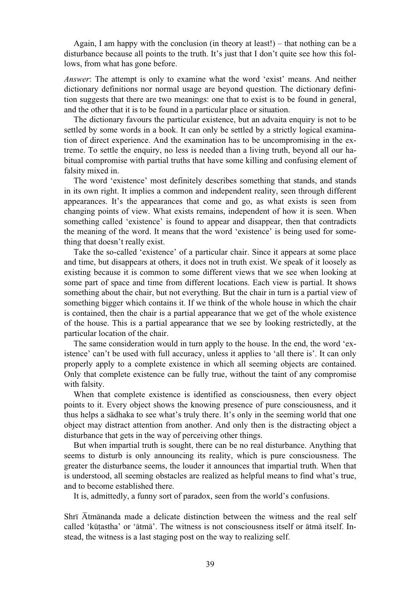Again, I am happy with the conclusion (in theory at least!) – that nothing can be a disturbance because all points to the truth. It's just that I don't quite see how this follows, from what has gone before.

*Answer*: The attempt is only to examine what the word 'exist' means. And neither dictionary definitions nor normal usage are beyond question. The dictionary definition suggests that there are two meanings: one that to exist is to be found in general, and the other that it is to be found in a particular place or situation.

The dictionary favours the particular existence, but an advaita enquiry is not to be settled by some words in a book. It can only be settled by a strictly logical examination of direct experience. And the examination has to be uncompromising in the extreme. To settle the enquiry, no less is needed than a living truth, beyond all our habitual compromise with partial truths that have some killing and confusing element of falsity mixed in.

The word 'existence' most definitely describes something that stands, and stands in its own right. It implies a common and independent reality, seen through different appearances. It's the appearances that come and go, as what exists is seen from changing points of view. What exists remains, independent of how it is seen. When something called 'existence' is found to appear and disappear, then that contradicts the meaning of the word. It means that the word 'existence' is being used for something that doesn't really exist.

Take the so-called 'existence' of a particular chair. Since it appears at some place and time, but disappears at others, it does not in truth exist. We speak of it loosely as existing because it is common to some different views that we see when looking at some part of space and time from different locations. Each view is partial. It shows something about the chair, but not everything. But the chair in turn is a partial view of something bigger which contains it. If we think of the whole house in which the chair is contained, then the chair is a partial appearance that we get of the whole existence of the house. This is a partial appearance that we see by looking restrictedly, at the particular location of the chair.

The same consideration would in turn apply to the house. In the end, the word 'existence' can't be used with full accuracy, unless it applies to 'all there is'. It can only properly apply to a complete existence in which all seeming objects are contained. Only that complete existence can be fully true, without the taint of any compromise with falsity.

When that complete existence is identified as consciousness, then every object points to it. Every object shows the knowing presence of pure consciousness, and it thus helps a sadhaka to see what's truly there. It's only in the seeming world that one object may distract attention from another. And only then is the distracting object a disturbance that gets in the way of perceiving other things.

But when impartial truth is sought, there can be no real disturbance. Anything that seems to disturb is only announcing its reality, which is pure consciousness. The greater the disturbance seems, the louder it announces that impartial truth. When that is understood, all seeming obstacles are realized as helpful means to find what's true, and to become established there.

It is, admittedly, a funny sort of paradox, seen from the world's confusions.

Shrī  $\overline{\text{Atm}}$  and  $\overline{\text{and}}$  and  $\overline{\text{a}}$  delicate distinction between the witness and the real self called 'kutastha' or 'atma'. The witness is not consciousness itself or atma itself. Instead, the witness is a last staging post on the way to realizing self.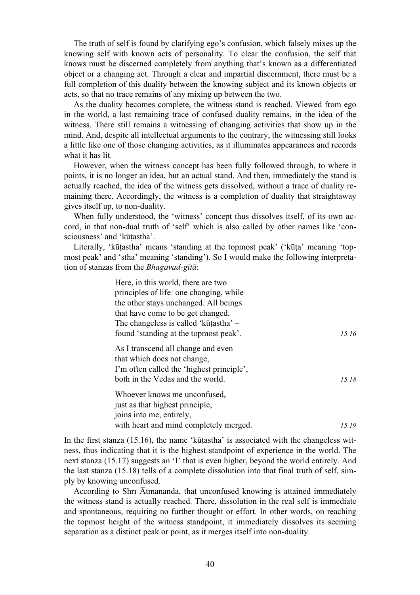The truth of self is found by clarifying ego's confusion, which falsely mixes up the knowing self with known acts of personality. To clear the confusion, the self that knows must be discerned completely from anything that's known as a differentiated object or a changing act. Through a clear and impartial discernment, there must be a full completion of this duality between the knowing subject and its known objects or acts, so that no trace remains of any mixing up between the two.

As the duality becomes complete, the witness stand is reached. Viewed from ego in the world, a last remaining trace of confused duality remains, in the idea of the witness. There still remains a witnessing of changing activities that show up in the mind. And, despite all intellectual arguments to the contrary, the witnessing still looks a little like one of those changing activities, as it illuminates appearances and records what it has lit.

However, when the witness concept has been fully followed through, to where it points, it is no longer an idea, but an actual stand. And then, immediately the stand is actually reached, the idea of the witness gets dissolved, without a trace of duality remaining there. Accordingly, the witness is a completion of duality that straightaway gives itself up, to non-duality.

When fully understood, the 'witness' concept thus dissolves itself, of its own accord, in that non-dual truth of 'self' which is also called by other names like 'consciousness' and 'kūtastha'.

Literally, 'kūtastha' means 'standing at the topmost peak' ('kūta' meaning 'topmost peak' and 'stha' meaning 'standing'). So I would make the following interpretation of stanzas from the *Bhagavad-gita*:

| Here, in this world, there are two        |       |
|-------------------------------------------|-------|
| principles of life: one changing, while   |       |
| the other stays unchanged. All beings     |       |
| that have come to be get changed.         |       |
| The changeless is called 'kūtastha' –     |       |
| found 'standing at the topmost peak'.     | 15.16 |
| As I transcend all change and even        |       |
| that which does not change,               |       |
| I'm often called the 'highest principle', |       |
| both in the Vedas and the world.          | 15.18 |
| Whoever knows me unconfused,              |       |
| just as that highest principle,           |       |
| joins into me, entirely,                  |       |
| with heart and mind completely merged.    | 15.19 |

In the first stanza  $(15.16)$ , the name 'kūtastha' is associated with the changeless witness, thus indicating that it is the highest standpoint of experience in the world. The next stanza (15.17) suggests an 'I' that is even higher, beyond the world entirely. And the last stanza (15.18) tells of a complete dissolution into that final truth of self, simply by knowing unconfused.

According to Shri Atmananda, that unconfused knowing is attained immediately the witness stand is actually reached. There, dissolution in the real self is immediate and spontaneous, requiring no further thought or effort. In other words, on reaching the topmost height of the witness standpoint, it immediately dissolves its seeming separation as a distinct peak or point, as it merges itself into non-duality.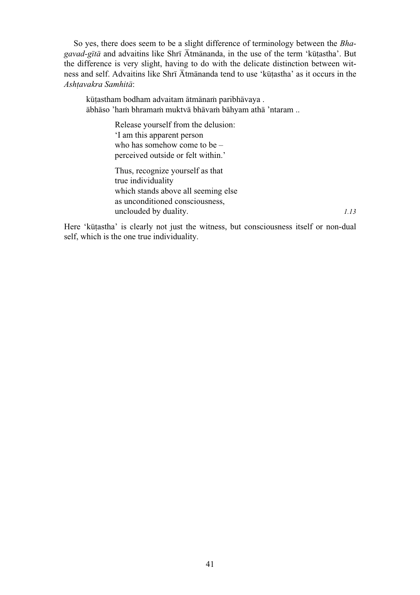So yes, there does seem to be a slight difference of terminology between the *Bhagavad-gita* and advaitins like Shri Atmananda, in the use of the term 'kutastha'. But the difference is very slight, having to do with the delicate distinction between witness and self. Advaitins like Shri Atmananda tend to use 'kutastha' as it occurs in the *Ashtavakra Samhita*:

kutastham bodham advaitam atmanam paribhavaya . abhaso 'ham bhramam muktva bhavam bahyam atha 'ntaram ..

> Release yourself from the delusion: 'I am this apparent person who has somehow come to be – perceived outside or felt within.'

Thus, recognize yourself as that true individuality which stands above all seeming else as unconditioned consciousness, unclouded by duality. *1.13* 

Here 'kutastha' is clearly not just the witness, but consciousness itself or non-dual self, which is the one true individuality.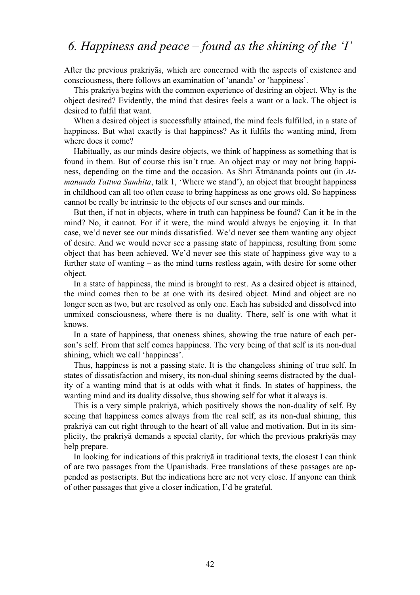# <span id="page-41-0"></span>*6. Happiness and peace – found as the shining of the 'I'*

After the previous prakriyas, which are concerned with the aspects of existence and consciousness, there follows an examination of 'ananda' or 'happiness'.

This prakriya begins with the common experience of desiring an object. Why is the object desired? Evidently, the mind that desires feels a want or a lack. The object is desired to fulfil that want.

When a desired object is successfully attained, the mind feels fulfilled, in a state of happiness. But what exactly is that happiness? As it fulfils the wanting mind, from where does it come?

Habitually, as our minds desire objects, we think of happiness as something that is found in them. But of course this isn't true. An object may or may not bring happiness, depending on the time and the occasion. As Shri Atmananda points out (in *Atmananda Tattwa Samhita*, talk 1, 'Where we stand'), an object that brought happiness in childhood can all too often cease to bring happiness as one grows old. So happiness cannot be really be intrinsic to the objects of our senses and our minds.

But then, if not in objects, where in truth can happiness be found? Can it be in the mind? No, it cannot. For if it were, the mind would always be enjoying it. In that case, we'd never see our minds dissatisfied. We'd never see them wanting any object of desire. And we would never see a passing state of happiness, resulting from some object that has been achieved. We'd never see this state of happiness give way to a further state of wanting – as the mind turns restless again, with desire for some other object.

In a state of happiness, the mind is brought to rest. As a desired object is attained, the mind comes then to be at one with its desired object. Mind and object are no longer seen as two, but are resolved as only one. Each has subsided and dissolved into unmixed consciousness, where there is no duality. There, self is one with what it knows.

In a state of happiness, that oneness shines, showing the true nature of each person's self. From that self comes happiness. The very being of that self is its non-dual shining, which we call 'happiness'.

Thus, happiness is not a passing state. It is the changeless shining of true self. In states of dissatisfaction and misery, its non-dual shining seems distracted by the duality of a wanting mind that is at odds with what it finds. In states of happiness, the wanting mind and its duality dissolve, thus showing self for what it always is.

This is a very simple prakriya, which positively shows the non-duality of self. By seeing that happiness comes always from the real self, as its non-dual shining, this prakriya can cut right through to the heart of all value and motivation. But in its simplicity, the prakriya demands a special clarity, for which the previous prakriyas may help prepare.

In looking for indications of this prakriya in traditional texts, the closest I can think of are two passages from the Upanishads. Free translations of these passages are appended as postscripts. But the indications here are not very close. If anyone can think of other passages that give a closer indication, I'd be grateful.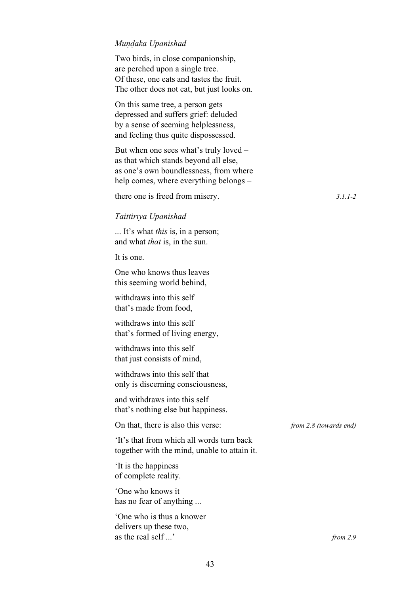# *Mundaka Upanishad*

Two birds, in close companionship, are perched upon a single tree. Of these, one eats and tastes the fruit. The other does not eat, but just looks on.

On this same tree, a person gets depressed and suffers grief: deluded by a sense of seeming helplessness, and feeling thus quite dispossessed.

But when one sees what's truly loved – as that which stands beyond all else, as one's own boundlessness, from where help comes, where everything belongs –

there one is freed from misery. *3.1.1-2* 

## *Taittiriya Upanishad*

... It's what *this* is, in a person; and what *that* is, in the sun.

It is one.

One who knows thus leaves this seeming world behind,

withdraws into this self that's made from food,

withdraws into this self that's formed of living energy,

withdraws into this self that just consists of mind,

withdraws into this self that only is discerning consciousness,

and withdraws into this self that's nothing else but happiness.

On that, there is also this verse: *from 2.8 (towards end)* 

'It's that from which all words turn back together with the mind, unable to attain it.

'It is the happiness of complete reality.

'One who knows it has no fear of anything ...

'One who is thus a knower delivers up these two, as the real self ...' *from 2.9*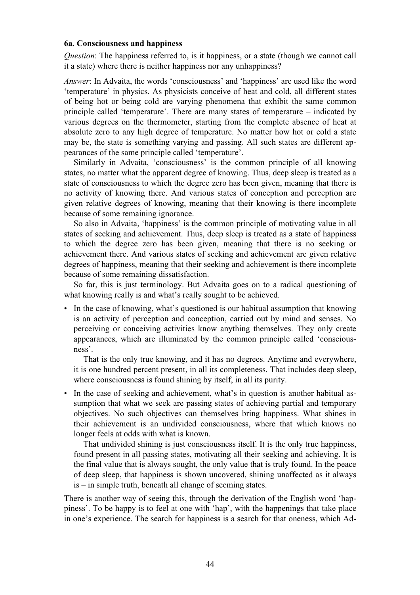## <span id="page-43-0"></span>**6a. Consciousness and happiness**

*Question*: The happiness referred to, is it happiness, or a state (though we cannot call it a state) where there is neither happiness nor any unhappiness?

*Answer*: In Advaita, the words 'consciousness' and 'happiness' are used like the word 'temperature' in physics. As physicists conceive of heat and cold, all different states of being hot or being cold are varying phenomena that exhibit the same common principle called 'temperature'. There are many states of temperature – indicated by various degrees on the thermometer, starting from the complete absence of heat at absolute zero to any high degree of temperature. No matter how hot or cold a state may be, the state is something varying and passing. All such states are different appearances of the same principle called 'temperature'.

Similarly in Advaita, 'consciousness' is the common principle of all knowing states, no matter what the apparent degree of knowing. Thus, deep sleep is treated as a state of consciousness to which the degree zero has been given, meaning that there is no activity of knowing there. And various states of conception and perception are given relative degrees of knowing, meaning that their knowing is there incomplete because of some remaining ignorance.

So also in Advaita, 'happiness' is the common principle of motivating value in all states of seeking and achievement. Thus, deep sleep is treated as a state of happiness to which the degree zero has been given, meaning that there is no seeking or achievement there. And various states of seeking and achievement are given relative degrees of happiness, meaning that their seeking and achievement is there incomplete because of some remaining dissatisfaction.

So far, this is just terminology. But Advaita goes on to a radical questioning of what knowing really is and what's really sought to be achieved.

• In the case of knowing, what's questioned is our habitual assumption that knowing is an activity of perception and conception, carried out by mind and senses. No perceiving or conceiving activities know anything themselves. They only create appearances, which are illuminated by the common principle called 'consciousness'.

That is the only true knowing, and it has no degrees. Anytime and everywhere, it is one hundred percent present, in all its completeness. That includes deep sleep, where consciousness is found shining by itself, in all its purity.

• In the case of seeking and achievement, what's in question is another habitual assumption that what we seek are passing states of achieving partial and temporary objectives. No such objectives can themselves bring happiness. What shines in their achievement is an undivided consciousness, where that which knows no longer feels at odds with what is known.

That undivided shining is just consciousness itself. It is the only true happiness, found present in all passing states, motivating all their seeking and achieving. It is the final value that is always sought, the only value that is truly found. In the peace of deep sleep, that happiness is shown uncovered, shining unaffected as it always is – in simple truth, beneath all change of seeming states.

There is another way of seeing this, through the derivation of the English word 'happiness'. To be happy is to feel at one with 'hap', with the happenings that take place in one's experience. The search for happiness is a search for that oneness, which Ad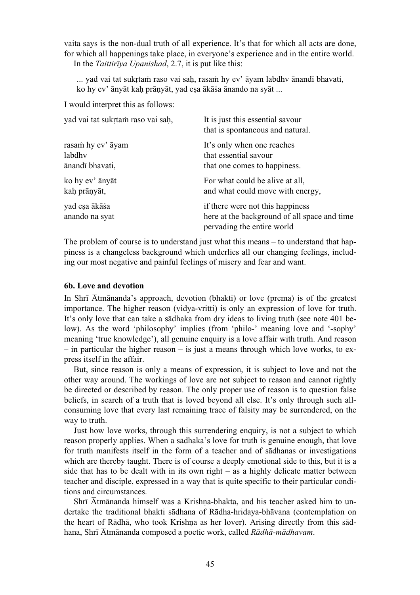<span id="page-44-0"></span>vaita says is the non-dual truth of all experience. It's that for which all acts are done, for which all happenings take place, in everyone's experience and in the entire world.

In the *Taittiriya Upanishad*, 2.7, it is put like this:

... yad vai tat sukrtam raso vai sah, rasam hy ev' āyam labdhv ānandī bhavati, ko hy ev' ānyāt kah prānyāt, yad esa ākāśa ānando na syāt ...

I would interpret this as follows:

| yad vai tat sukrtam raso vai sah, | It is just this essential sayour<br>that is spontaneous and natural.                                           |
|-----------------------------------|----------------------------------------------------------------------------------------------------------------|
| rasam hy ev' āyam                 | It's only when one reaches                                                                                     |
| labdhy                            | that essential savour                                                                                          |
| ānandī bhavati,                   | that one comes to happiness.                                                                                   |
| ko hy ev' ānyāt                   | For what could be alive at all,                                                                                |
| kah prāņyāt,                      | and what could move with energy,                                                                               |
| yad eşa ākāśa<br>ānando na syāt   | if there were not this happiness<br>here at the background of all space and time<br>pervading the entire world |

The problem of course is to understand just what this means – to understand that happiness is a changeless background which underlies all our changing feelings, including our most negative and painful feelings of misery and fear and want.

# **6b. Love and devotion**

In Shri Atmananda's approach, devotion (bhakti) or love (prema) is of the greatest importance. The higher reason (vidya-vritti) is only an expression of love for truth. It's only love that can take a sadhaka from dry ideas to living truth (see note 401 below). As the word 'philosophy' implies (from 'philo-' meaning love and '-sophy' meaning 'true knowledge'), all genuine enquiry is a love affair with truth. And reason – in particular the higher reason – is just a means through which love works, to express itself in the affair.

But, since reason is only a means of expression, it is subject to love and not the other way around. The workings of love are not subject to reason and cannot rightly be directed or described by reason. The only proper use of reason is to question false beliefs, in search of a truth that is loved beyond all else. It's only through such allconsuming love that every last remaining trace of falsity may be surrendered, on the way to truth.

Just how love works, through this surrendering enquiry, is not a subject to which reason properly applies. When a sadhaka's love for truth is genuine enough, that love for truth manifests itself in the form of a teacher and of sadhanas or investigations which are thereby taught. There is of course a deeply emotional side to this, but it is a side that has to be dealt with in its own right  $-$  as a highly delicate matter between teacher and disciple, expressed in a way that is quite specific to their particular conditions and circumstances.

Shri Atmananda himself was a Krishna-bhakta, and his teacher asked him to undertake the traditional bhakti sadhana of Radha-hridaya-bhavana (contemplation on the heart of Radha, who took Krishna as her lover). Arising directly from this sadhana, Shri Atmananda composed a poetic work, called *Radha-madhavam*.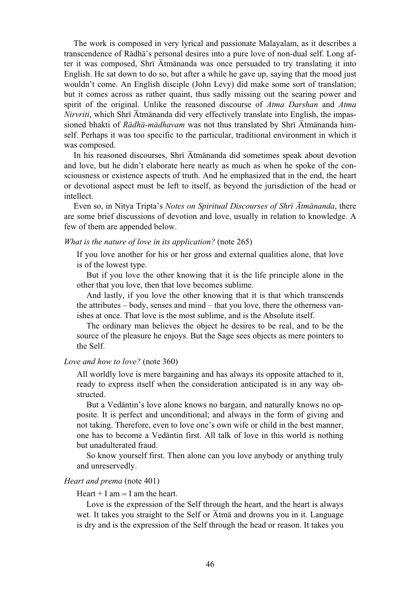The work is composed in very lyrical and passionate Malayalam, as it describes a transcendence of Radha's personal desires into a pure love of non-dual self. Long after it was composed, Shri Atmananda was once persuaded to try translating it into English. He sat down to do so, but after a while he gave up, saying that the mood just wouldn't come. An English disciple (John Levy) did make some sort of translation; but it comes across as rather quaint, thus sadly missing out the searing power and spirit of the original. Unlike the reasoned discourse of *Atma Darshan* and *Atma Nirvriti*, which Shri Atmananda did very effectively translate into English, the impassioned bhakti of *Radha-madhavam* was not thus translated by Shri Atmananda himself. Perhaps it was too specific to the particular, traditional environment in which it was composed.

In his reasoned discourses, Shrī  $\overline{A}$ tmānanda did sometimes speak about devotion and love, but he didn't elaborate here nearly as much as when he spoke of the consciousness or existence aspects of truth. And he emphasized that in the end, the heart or devotional aspect must be left to itself, as beyond the jurisdiction of the head or intellect.

Even so, in Nitya Tripta's *Notes on Spiritual Discourses of Shri Atmananda*, there are some brief discussions of devotion and love, usually in relation to knowledge. A few of them are appended below.

#### *What is the nature of love in its application?* (note 265)

If you love another for his or her gross and external qualities alone, that love is of the lowest type.

But if you love the other knowing that it is the life principle alone in the other that you love, then that love becomes sublime.

And lastly, if you love the other knowing that it is that which transcends the attributes – body, senses and mind – that you love, there the otherness vanishes at once. That love is the most sublime, and is the Absolute itself.

The ordinary man believes the object he desires to be real, and to be the source of the pleasure he enjoys. But the Sage sees objects as mere pointers to the Self.

#### *Love and how to love?* (note 360)

All worldly love is mere bargaining and has always its opposite attached to it, ready to express itself when the consideration anticipated is in any way obstructed.

But a Vedāntin's love alone knows no bargain, and naturally knows no opposite. It is perfect and unconditional; and always in the form of giving and not taking. Therefore, even to love one's own wife or child in the best manner, one has to become a Vedantin first. All talk of love in this world is nothing but unadulterated fraud.

So know yourself first. Then alone can you love anybody or anything truly and unreservedly.

#### *Heart and prema* (note 401)

Heart  $+ I$  am  $= I$  am the heart.

Love is the expression of the Self through the heart, and the heart is always wet. It takes you straight to the Self or  $\overline{A}$ tma and drowns you in it. Language is dry and is the expression of the Self through the head or reason. It takes you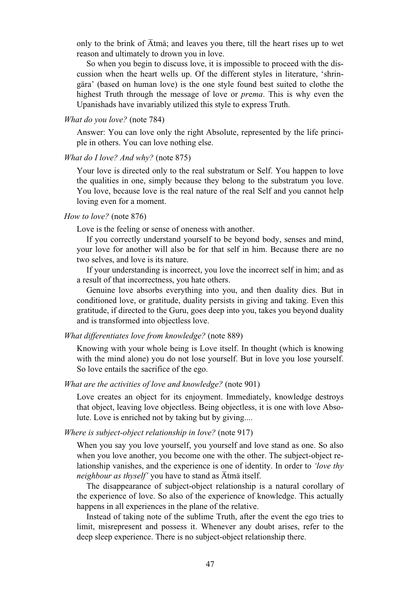only to the brink of  $\overline{A}$ tma; and leaves you there, till the heart rises up to wet reason and ultimately to drown you in love.

So when you begin to discuss love, it is impossible to proceed with the discussion when the heart wells up. Of the different styles in literature, 'shringara' (based on human love) is the one style found best suited to clothe the highest Truth through the message of love or *pr*e*ma*. This is why even the Upanishads have invariably utilized this style to express Truth.

#### *What do you love?* (note 784)

Answer: You can love only the right Absolute, represented by the life principle in others. You can love nothing else.

# *What do I love? And why?* (note 875)

Your love is directed only to the real substratum or Self. You happen to love the qualities in one, simply because they belong to the substratum you love. You love, because love is the real nature of the real Self and you cannot help loving even for a moment.

#### *How to love?* (note 876)

Love is the feeling or sense of oneness with another.

If you correctly understand yourself to be beyond body, senses and mind, your love for another will also be for that self in him. Because there are no two selves, and love is its nature.

If your understanding is incorrect, you love the incorrect self in him; and as a result of that incorrectness, you hate others.

Genuine love absorbs everything into you, and then duality dies. But in conditioned love, or gratitude, duality persists in giving and taking. Even this gratitude, if directed to the Guru, goes deep into you, takes you beyond duality and is transformed into objectless love.

## *What differentiates love from knowledge?* (note 889)

Knowing with your whole being is Love itself. In thought (which is knowing with the mind alone) you do not lose yourself. But in love you lose yourself. So love entails the sacrifice of the ego.

# *What are the activities of love and knowledge?* (note 901)

Love creates an object for its enjoyment. Immediately, knowledge destroys that object, leaving love objectless. Being objectless, it is one with love Absolute. Love is enriched not by taking but by giving....

#### *Where is subject-object relationship in love?* (note 917)

When you say you love yourself, you yourself and love stand as one. So also when you love another, you become one with the other. The subject-object relationship vanishes, and the experience is one of identity. In order to *'love thy neighbour as thyself'* you have to stand as Atma itself.

The disappearance of subject-object relationship is a natural corollary of the experience of love. So also of the experience of knowledge. This actually happens in all experiences in the plane of the relative.

Instead of taking note of the sublime Truth, after the event the ego tries to limit, misrepresent and possess it. Whenever any doubt arises, refer to the deep sleep experience. There is no subject-object relationship there.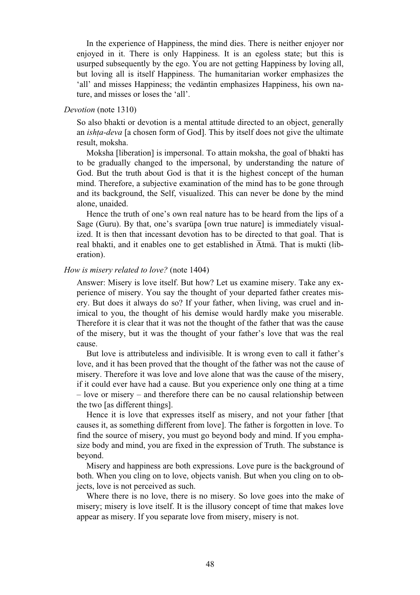In the experience of Happiness, the mind dies. There is neither enjoyer nor enjoyed in it. There is only Happiness. It is an egoless state; but this is usurped subsequently by the ego. You are not getting Happiness by loving all, but loving all is itself Happiness. The humanitarian worker emphasizes the 'all' and misses Happiness; the vedantin emphasizes Happiness, his own nature, and misses or loses the 'all'.

## *Devotion* (note 1310)

So also bhakti or devotion is a mental attitude directed to an object, generally an *ishta-deva* [a chosen form of God]. This by itself does not give the ultimate result, moksha.

Moksha [liberation] is impersonal. To attain moksha, the goal of bhakti has to be gradually changed to the impersonal, by understanding the nature of God. But the truth about God is that it is the highest concept of the human mind. Therefore, a subjective examination of the mind has to be gone through and its background, the Self, visualized. This can never be done by the mind alone, unaided.

Hence the truth of one's own real nature has to be heard from the lips of a Sage (Guru). By that, one's svarupa [own true nature] is immediately visualized. It is then that incessant devotion has to be directed to that goal. That is real bhakti, and it enables one to get established in  $\overline{A}$ tma. That is mukti (liberation).

#### *How is misery related to love?* (note 1404)

Answer: Misery is love itself. But how? Let us examine misery. Take any experience of misery. You say the thought of your departed father creates misery. But does it always do so? If your father, when living, was cruel and inimical to you, the thought of his demise would hardly make you miserable. Therefore it is clear that it was not the thought of the father that was the cause of the misery, but it was the thought of your father's love that was the real cause.

But love is attributeless and indivisible. It is wrong even to call it father's love, and it has been proved that the thought of the father was not the cause of misery. Therefore it was love and love alone that was the cause of the misery, if it could ever have had a cause. But you experience only one thing at a time – love or misery – and therefore there can be no causal relationship between the two [as different things].

Hence it is love that expresses itself as misery, and not your father [that causes it, as something different from love]. The father is forgotten in love. To find the source of misery, you must go beyond body and mind. If you emphasize body and mind, you are fixed in the expression of Truth. The substance is beyond.

Misery and happiness are both expressions. Love pure is the background of both. When you cling on to love, objects vanish. But when you cling on to objects, love is not perceived as such.

Where there is no love, there is no misery. So love goes into the make of misery; misery is love itself. It is the illusory concept of time that makes love appear as misery. If you separate love from misery, misery is not.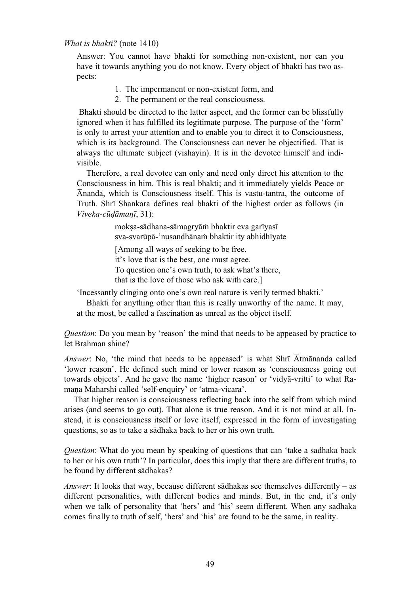## *What is bhakti?* (note 1410)

Answer: You cannot have bhakti for something non-existent, nor can you have it towards anything you do not know. Every object of bhakti has two aspects:

- 1. The impermanent or non-existent form, and
- 2. The permanent or the real consciousness.

 Bhakti should be directed to the latter aspect, and the former can be blissfully ignored when it has fulfilled its legitimate purpose. The purpose of the 'form' is only to arrest your attention and to enable you to direct it to Consciousness, which is its background. The Consciousness can never be objectified. That is always the ultimate subject (vishayin). It is in the devotee himself and indivisible.

Therefore, a real devotee can only and need only direct his attention to the Consciousness in him. This is real bhakti; and it immediately yields Peace or Ananda, which is Consciousness itself. This is vastu-tantra, the outcome of Truth. Shri Shankara defines real bhakti of the highest order as follows (in *Viveka-cudamani*, 31):

> moksa-sadhana-samagryam bhaktir eva gariyasi sva-svarupa-'nusandhanam bhaktir ity abhidhiyate

[Among all ways of seeking to be free,

it's love that is the best, one must agree.

To question one's own truth, to ask what's there,

that is the love of those who ask with care.]

'Incessantly clinging onto one's own real nature is verily termed bhakti.'

Bhakti for anything other than this is really unworthy of the name. It may, at the most, be called a fascination as unreal as the object itself.

*Question*: Do you mean by 'reason' the mind that needs to be appeased by practice to let Brahman shine?

*Answer*: No, 'the mind that needs to be appeased' is what Shri Atmananda called 'lower reason'. He defined such mind or lower reason as 'consciousness going out towards objects'. And he gave the name 'higher reason' or 'vidya-vritti' to what Ramana Maharshi called 'self-enquiry' or 'atma-vicara'.

That higher reason is consciousness reflecting back into the self from which mind arises (and seems to go out). That alone is true reason. And it is not mind at all. Instead, it is consciousness itself or love itself, expressed in the form of investigating questions, so as to take a sadhaka back to her or his own truth.

*Question*: What do you mean by speaking of questions that can 'take a sadhaka back to her or his own truth'? In particular, does this imply that there are different truths, to be found by different sadhakas?

*Answer*: It looks that way, because different sadhakas see themselves differently – as different personalities, with different bodies and minds. But, in the end, it's only when we talk of personality that 'hers' and 'his' seem different. When any sadhaka comes finally to truth of self, 'hers' and 'his' are found to be the same, in reality.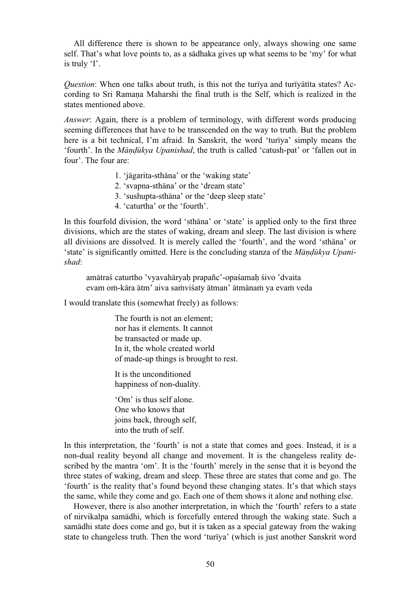All difference there is shown to be appearance only, always showing one same self. That's what love points to, as a sadhaka gives up what seems to be 'my' for what is truly 'I'.

*Question*: When one talks about truth, is this not the turiya and turiyatita states? According to Sri Ramana Maharshi the final truth is the Self, which is realized in the states mentioned above.

*Answer*: Again, there is a problem of terminology, with different words producing seeming differences that have to be transcended on the way to truth. But the problem here is a bit technical, I'm afraid. In Sanskrit, the word 'turiya' simply means the 'fourth'. In the *Mandukya Upanishad*, the truth is called 'catush-pat' or 'fallen out in four'. The four are:

- 1. 'jagarita-sthana' or the 'waking state'
- 2. 'svapna-sthana' or the 'dream state'
- 3. 'sushupta-sthana' or the 'deep sleep state'
- 4. 'caturtha' or the 'fourth'.

In this fourfold division, the word 'sthana' or 'state' is applied only to the first three divisions, which are the states of waking, dream and sleep. The last division is where all divisions are dissolved. It is merely called the 'fourth', and the word 'sthana' or 'state' is significantly omitted. Here is the concluding stanza of the *Mandukya Upanishad*:

amātras caturtho 'vyavahāryah prapañc'-opasamah sivo 'dvaita evam om-kara atm' aiva samvizaty atman' atmanam ya evam veda

I would translate this (somewhat freely) as follows:

The fourth is not an element; nor has it elements. It cannot be transacted or made up. In it, the whole created world of made-up things is brought to rest.

It is the unconditioned happiness of non-duality.

'Om' is thus self alone. One who knows that joins back, through self, into the truth of self.

In this interpretation, the 'fourth' is not a state that comes and goes. Instead, it is a non-dual reality beyond all change and movement. It is the changeless reality described by the mantra 'om'. It is the 'fourth' merely in the sense that it is beyond the three states of waking, dream and sleep. These three are states that come and go. The 'fourth' is the reality that's found beyond these changing states. It's that which stays the same, while they come and go. Each one of them shows it alone and nothing else.

However, there is also another interpretation, in which the 'fourth' refers to a state of nirvikalpa samadhi, which is forcefully entered through the waking state. Such a samadhi state does come and go, but it is taken as a special gateway from the waking state to changeless truth. Then the word 'turiya' (which is just another Sanskrit word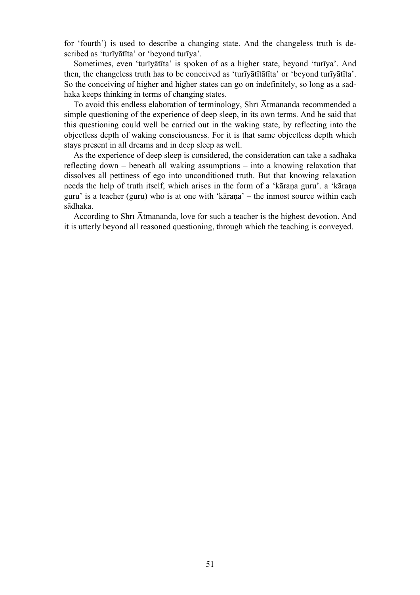for 'fourth') is used to describe a changing state. And the changeless truth is described as 'turīyātīta' or 'beyond turīya'.

Sometimes, even 'turiyatita' is spoken of as a higher state, beyond 'turiya'. And then, the changeless truth has to be conceived as 'turiyatitatita' or 'beyond turiyatita'. So the conceiving of higher and higher states can go on indefinitely, so long as a sadhaka keeps thinking in terms of changing states.

To avoid this endless elaboration of terminology, Shri Atmananda recommended a simple questioning of the experience of deep sleep, in its own terms. And he said that this questioning could well be carried out in the waking state, by reflecting into the objectless depth of waking consciousness. For it is that same objectless depth which stays present in all dreams and in deep sleep as well.

As the experience of deep sleep is considered, the consideration can take a sadhaka reflecting down – beneath all waking assumptions – into a knowing relaxation that dissolves all pettiness of ego into unconditioned truth. But that knowing relaxation needs the help of truth itself, which arises in the form of a 'karana guru'. a 'karana guru' is a teacher (guru) who is at one with 'karana' – the inmost source within each sadhaka.

According to Shri Atmananda, love for such a teacher is the highest devotion. And it is utterly beyond all reasoned questioning, through which the teaching is conveyed.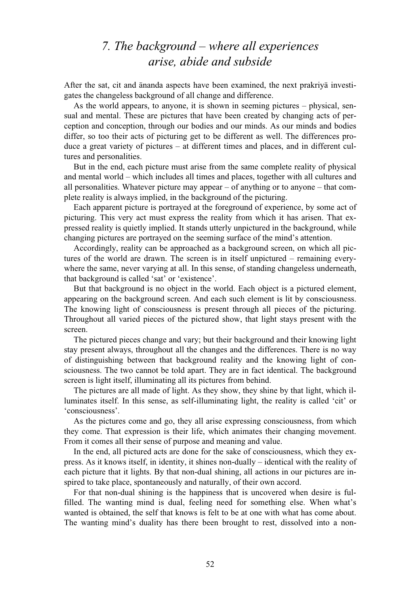# *7. The background – where all experiences arise, abide and subside*

<span id="page-51-0"></span>After the sat, cit and ananda aspects have been examined, the next prakriya investigates the changeless background of all change and difference.

As the world appears, to anyone, it is shown in seeming pictures – physical, sensual and mental. These are pictures that have been created by changing acts of perception and conception, through our bodies and our minds. As our minds and bodies differ, so too their acts of picturing get to be different as well. The differences produce a great variety of pictures – at different times and places, and in different cultures and personalities.

But in the end, each picture must arise from the same complete reality of physical and mental world – which includes all times and places, together with all cultures and all personalities. Whatever picture may appear – of anything or to anyone – that complete reality is always implied, in the background of the picturing.

Each apparent picture is portrayed at the foreground of experience, by some act of picturing. This very act must express the reality from which it has arisen. That expressed reality is quietly implied. It stands utterly unpictured in the background, while changing pictures are portrayed on the seeming surface of the mind's attention.

Accordingly, reality can be approached as a background screen, on which all pictures of the world are drawn. The screen is in itself unpictured – remaining everywhere the same, never varying at all. In this sense, of standing changeless underneath, that background is called 'sat' or 'existence'.

But that background is no object in the world. Each object is a pictured element, appearing on the background screen. And each such element is lit by consciousness. The knowing light of consciousness is present through all pieces of the picturing. Throughout all varied pieces of the pictured show, that light stays present with the screen.

The pictured pieces change and vary; but their background and their knowing light stay present always, throughout all the changes and the differences. There is no way of distinguishing between that background reality and the knowing light of consciousness. The two cannot be told apart. They are in fact identical. The background screen is light itself, illuminating all its pictures from behind.

The pictures are all made of light. As they show, they shine by that light, which illuminates itself. In this sense, as self-illuminating light, the reality is called 'cit' or 'consciousness'.

As the pictures come and go, they all arise expressing consciousness, from which they come. That expression is their life, which animates their changing movement. From it comes all their sense of purpose and meaning and value.

In the end, all pictured acts are done for the sake of consciousness, which they express. As it knows itself, in identity, it shines non-dually – identical with the reality of each picture that it lights. By that non-dual shining, all actions in our pictures are inspired to take place, spontaneously and naturally, of their own accord.

For that non-dual shining is the happiness that is uncovered when desire is fulfilled. The wanting mind is dual, feeling need for something else. When what's wanted is obtained, the self that knows is felt to be at one with what has come about. The wanting mind's duality has there been brought to rest, dissolved into a non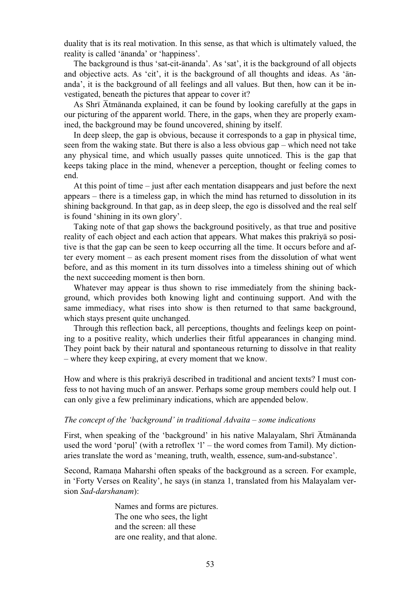duality that is its real motivation. In this sense, as that which is ultimately valued, the reality is called 'ananda' or 'happiness'.

The background is thus 'sat-cit-ananda'. As 'sat', it is the background of all objects and objective acts. As 'cit', it is the background of all thoughts and ideas. As 'ananda', it is the background of all feelings and all values. But then, how can it be investigated, beneath the pictures that appear to cover it?

As Shri Atmananda explained, it can be found by looking carefully at the gaps in our picturing of the apparent world. There, in the gaps, when they are properly examined, the background may be found uncovered, shining by itself.

In deep sleep, the gap is obvious, because it corresponds to a gap in physical time, seen from the waking state. But there is also a less obvious gap – which need not take any physical time, and which usually passes quite unnoticed. This is the gap that keeps taking place in the mind, whenever a perception, thought or feeling comes to end.

At this point of time – just after each mentation disappears and just before the next appears – there is a timeless gap, in which the mind has returned to dissolution in its shining background. In that gap, as in deep sleep, the ego is dissolved and the real self is found 'shining in its own glory'.

Taking note of that gap shows the background positively, as that true and positive reality of each object and each action that appears. What makes this prakriya so positive is that the gap can be seen to keep occurring all the time. It occurs before and after every moment – as each present moment rises from the dissolution of what went before, and as this moment in its turn dissolves into a timeless shining out of which the next succeeding moment is then born.

Whatever may appear is thus shown to rise immediately from the shining background, which provides both knowing light and continuing support. And with the same immediacy, what rises into show is then returned to that same background, which stays present quite unchanged.

Through this reflection back, all perceptions, thoughts and feelings keep on pointing to a positive reality, which underlies their fitful appearances in changing mind. They point back by their natural and spontaneous returning to dissolve in that reality – where they keep expiring, at every moment that we know.

How and where is this prakriya described in traditional and ancient texts? I must confess to not having much of an answer. Perhaps some group members could help out. I can only give a few preliminary indications, which are appended below.

## *The concept of the 'background' in traditional Advaita – some indications*

First, when speaking of the 'background' in his native Malayalam, Shri Atmananda used the word 'porul' (with a retroflex 'l' – the word comes from Tamil). My dictionaries translate the word as 'meaning, truth, wealth, essence, sum-and-substance'.

Second, Ramana Maharshi often speaks of the background as a screen. For example, in 'Forty Verses on Reality', he says (in stanza 1, translated from his Malayalam version *Sad-darshanam*):

> Names and forms are pictures. The one who sees, the light and the screen: all these are one reality, and that alone.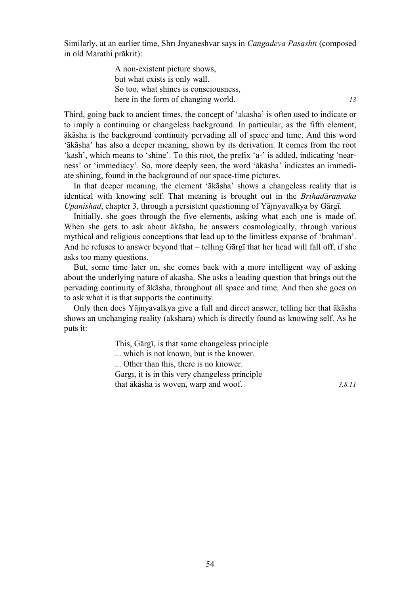Similarly, at an earlier time, Shri Jnyaneshvar says in *Cangadeva Pasashti* (composed in old Marathi prakrit):

> A non-existent picture shows, but what exists is only wall. So too, what shines is consciousness, here in the form of changing world. 13

Third, going back to ancient times, the concept of 'akasha' is often used to indicate or to imply a continuing or changeless background. In particular, as the fifth element, akasha is the background continuity pervading all of space and time. And this word 'akasha' has also a deeper meaning, shown by its derivation. It comes from the root 'kāsh', which means to 'shine'. To this root, the prefix 'a-' is added, indicating 'nearness' or 'immediacy'. So, more deeply seen, the word 'akasha' indicates an immediate shining, found in the background of our space-time pictures.

In that deeper meaning, the element 'ākāsha' shows a changeless reality that is identical with knowing self. That meaning is brought out in the *Brihadaranyaka Upanishad*, chapter 3, through a persistent questioning of Yajnyavalkya by Gargi.

Initially, she goes through the five elements, asking what each one is made of. When she gets to ask about  $\bar{a}$  kasha, he answers cosmologically, through various mythical and religious conceptions that lead up to the limitless expanse of 'brahman'. And he refuses to answer beyond that – telling Gargi that her head will fall off, if she asks too many questions.

But, some time later on, she comes back with a more intelligent way of asking about the underlying nature of akasha. She asks a leading question that brings out the pervading continuity of akasha, throughout all space and time. And then she goes on to ask what it is that supports the continuity.

Only then does Yajnyavalkya give a full and direct answer, telling her that akasha shows an unchanging reality (akshara) which is directly found as knowing self. As he puts it:

> This, Gargi, is that same changeless principle ... which is not known, but is the knower. ... Other than this, there is no knower. Gargi, it is in this very changeless principle that  $\bar{a}$ k $\bar{a}$ sha is woven, warp and woof. 3.8.11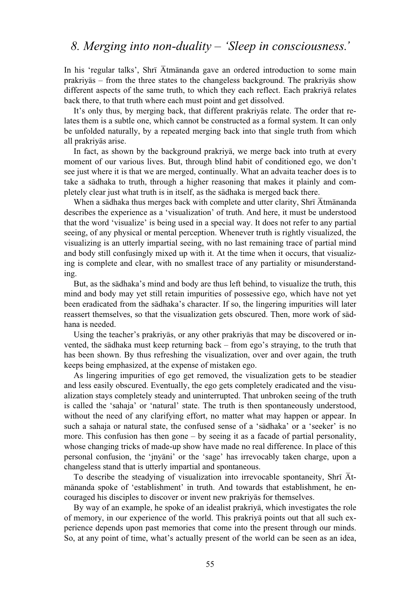# <span id="page-54-0"></span>*8. Merging into non-duality – 'Sleep in consciousness.'*

In his 'regular talks', Shrī Atmānanda gave an ordered introduction to some main prakriyas – from the three states to the changeless background. The prakriyas show different aspects of the same truth, to which they each reflect. Each prakriya relates back there, to that truth where each must point and get dissolved.

It's only thus, by merging back, that different prakriyas relate. The order that relates them is a subtle one, which cannot be constructed as a formal system. It can only be unfolded naturally, by a repeated merging back into that single truth from which all prakriyas arise.

In fact, as shown by the background prakriva, we merge back into truth at every moment of our various lives. But, through blind habit of conditioned ego, we don't see just where it is that we are merged, continually. What an advaita teacher does is to take a sadhaka to truth, through a higher reasoning that makes it plainly and completely clear just what truth is in itself, as the sadhaka is merged back there.

When a sadhaka thus merges back with complete and utter clarity, Shri  $\overline{\text{Atm}}$  and describes the experience as a 'visualization' of truth. And here, it must be understood that the word 'visualize' is being used in a special way. It does not refer to any partial seeing, of any physical or mental perception. Whenever truth is rightly visualized, the visualizing is an utterly impartial seeing, with no last remaining trace of partial mind and body still confusingly mixed up with it. At the time when it occurs, that visualizing is complete and clear, with no smallest trace of any partiality or misunderstanding.

But, as the sadhaka's mind and body are thus left behind, to visualize the truth, this mind and body may yet still retain impurities of possessive ego, which have not yet been eradicated from the sadhaka's character. If so, the lingering impurities will later reassert themselves, so that the visualization gets obscured. Then, more work of sadhana is needed.

Using the teacher's prakriyas, or any other prakriyas that may be discovered or invented, the sadhaka must keep returning back – from ego's straying, to the truth that has been shown. By thus refreshing the visualization, over and over again, the truth keeps being emphasized, at the expense of mistaken ego.

As lingering impurities of ego get removed, the visualization gets to be steadier and less easily obscured. Eventually, the ego gets completely eradicated and the visualization stays completely steady and uninterrupted. That unbroken seeing of the truth is called the 'sahaja' or 'natural' state. The truth is then spontaneously understood, without the need of any clarifying effort, no matter what may happen or appear. In such a sahaja or natural state, the confused sense of a 'sadhaka' or a 'seeker' is no more. This confusion has then gone – by seeing it as a facade of partial personality, whose changing tricks of made-up show have made no real difference. In place of this personal confusion, the 'jnyani' or the 'sage' has irrevocably taken charge, upon a changeless stand that is utterly impartial and spontaneous.

To describe the steadying of visualization into irrevocable spontaneity, Shrī  $\overline{A}t$ mananda spoke of 'establishment' in truth. And towards that establishment, he encouraged his disciples to discover or invent new prakriyas for themselves.

By way of an example, he spoke of an idealist prakriya, which investigates the role of memory, in our experience of the world. This prakriya points out that all such experience depends upon past memories that come into the present through our minds. So, at any point of time, what's actually present of the world can be seen as an idea,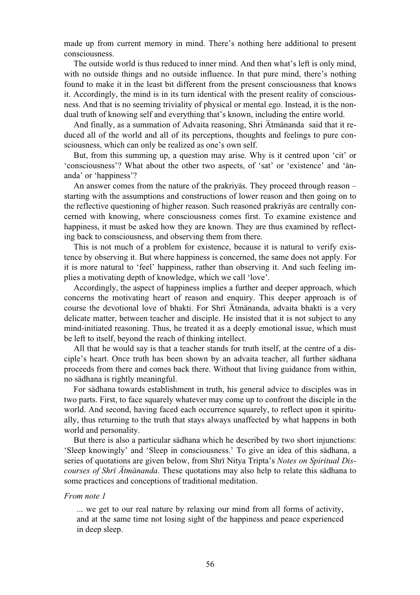made up from current memory in mind. There's nothing here additional to present consciousness.

The outside world is thus reduced to inner mind. And then what's left is only mind, with no outside things and no outside influence. In that pure mind, there's nothing found to make it in the least bit different from the present consciousness that knows it. Accordingly, the mind is in its turn identical with the present reality of consciousness. And that is no seeming triviality of physical or mental ego. Instead, it is the nondual truth of knowing self and everything that's known, including the entire world.

And finally, as a summation of Advaita reasoning, Shri Atmananda said that it reduced all of the world and all of its perceptions, thoughts and feelings to pure consciousness, which can only be realized as one's own self.

But, from this summing up, a question may arise. Why is it centred upon 'cit' or 'consciousness'? What about the other two aspects, of 'sat' or 'existence' and 'ananda' or 'happiness'?

An answer comes from the nature of the prakriyas. They proceed through reason – starting with the assumptions and constructions of lower reason and then going on to the reflective questioning of higher reason. Such reasoned prakriyas are centrally concerned with knowing, where consciousness comes first. To examine existence and happiness, it must be asked how they are known. They are thus examined by reflecting back to consciousness, and observing them from there.

This is not much of a problem for existence, because it is natural to verify existence by observing it. But where happiness is concerned, the same does not apply. For it is more natural to 'feel' happiness, rather than observing it. And such feeling implies a motivating depth of knowledge, which we call 'love'.

Accordingly, the aspect of happiness implies a further and deeper approach, which concerns the motivating heart of reason and enquiry. This deeper approach is of course the devotional love of bhakti. For Shri Atmananda, advaita bhakti is a very delicate matter, between teacher and disciple. He insisted that it is not subject to any mind-initiated reasoning. Thus, he treated it as a deeply emotional issue, which must be left to itself, beyond the reach of thinking intellect.

All that he would say is that a teacher stands for truth itself, at the centre of a disciple's heart. Once truth has been shown by an advaita teacher, all further sadhana proceeds from there and comes back there. Without that living guidance from within, no sadhana is rightly meaningful.

For sadhana towards establishment in truth, his general advice to disciples was in two parts. First, to face squarely whatever may come up to confront the disciple in the world. And second, having faced each occurrence squarely, to reflect upon it spiritually, thus returning to the truth that stays always unaffected by what happens in both world and personality.

But there is also a particular sadhana which he described by two short injunctions: 'Sleep knowingly' and 'Sleep in consciousness.' To give an idea of this sadhana, a series of quotations are given below, from Shri Nitya Tripta's *Notes on Spiritual Discourses of Shri Atmananda*. These quotations may also help to relate this sadhana to some practices and conceptions of traditional meditation.

#### *From note 1*

... we get to our real nature by relaxing our mind from all forms of activity, and at the same time not losing sight of the happiness and peace experienced in deep sleep.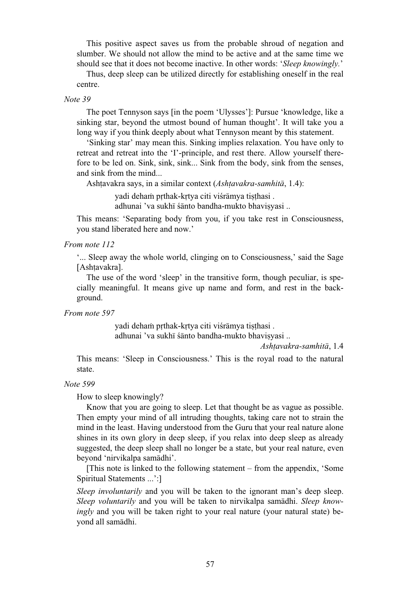This positive aspect saves us from the probable shroud of negation and slumber. We should not allow the mind to be active and at the same time we should see that it does not become inactive. In other words: '*Sleep knowingly.*'

Thus, deep sleep can be utilized directly for establishing oneself in the real centre.

# *Note 39*

The poet Tennyson says [in the poem 'Ulysses']: Pursue 'knowledge, like a sinking star, beyond the utmost bound of human thought'. It will take you a long way if you think deeply about what Tennyson meant by this statement.

'Sinking star' may mean this. Sinking implies relaxation. You have only to retreat and retreat into the 'I'-principle, and rest there. Allow yourself therefore to be led on. Sink, sink, sink... Sink from the body, sink from the senses, and sink from the mind...

Ashtavakra says, in a similar context (*Ashtavakra-samhita*, 1.4):

yadi deham prthak-krtya citi vizramya tisthasi .

adhunai 'va sukhī śānto bandha-mukto bhavisyasi ..

This means: 'Separating body from you, if you take rest in Consciousness, you stand liberated here and now.'

## *From note 112*

'... Sleep away the whole world, clinging on to Consciousness,' said the Sage [Ashtavakra].

The use of the word 'sleep' in the transitive form, though peculiar, is specially meaningful. It means give up name and form, and rest in the background.

*From note 597* 

yadi deham prthak-krtya citi vizramya tisthasi . adhunai 'va sukhī śānto bandha-mukto bhavisyasi ..

*Ashtavakra-samhita*, 1.4

This means: 'Sleep in Consciousness.' This is the royal road to the natural state.

# *Note 599*

How to sleep knowingly?

Know that you are going to sleep. Let that thought be as vague as possible. Then empty your mind of all intruding thoughts, taking care not to strain the mind in the least. Having understood from the Guru that your real nature alone shines in its own glory in deep sleep, if you relax into deep sleep as already suggested, the deep sleep shall no longer be a state, but your real nature, even beyond 'nirvikalpa samadhi'.

[This note is linked to the following statement – from the appendix, 'Some Spiritual Statements ...':]

*Sleep involuntarily* and you will be taken to the ignorant man's deep sleep. *Sleep voluntarily* and you will be taken to nirvikalpa samadhi. *Sleep knowingly* and you will be taken right to your real nature (your natural state) beyond all samadhi.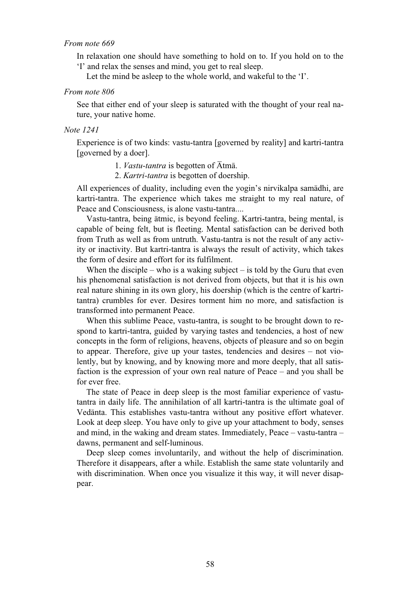#### *From note 669*

In relaxation one should have something to hold on to. If you hold on to the 'I' and relax the senses and mind, you get to real sleep.

Let the mind be asleep to the whole world, and wakeful to the 'I'.

#### *From note 806*

See that either end of your sleep is saturated with the thought of your real nature, your native home.

## *Note 1241*

Experience is of two kinds: vastu-tantra [governed by reality] and kartri-tantra [governed by a doer].

- 1. *Vastu-tantra* is begotten of Atma.
- 2. *Kartri-tantra* is begotten of doership.

All experiences of duality, including even the yogin's nirvikalpa samadhi, are kartri-tantra. The experience which takes me straight to my real nature, of Peace and Consciousness, is alone vastu-tantra....

Vastu-tantra, being atmic, is beyond feeling. Kartri-tantra, being mental, is capable of being felt, but is fleeting. Mental satisfaction can be derived both from Truth as well as from untruth. Vastu-tantra is not the result of any activity or inactivity. But kartri-tantra is always the result of activity, which takes the form of desire and effort for its fulfilment.

When the disciple – who is a waking subject – is told by the Guru that even his phenomenal satisfaction is not derived from objects, but that it is his own real nature shining in its own glory, his doership (which is the centre of kartritantra) crumbles for ever. Desires torment him no more, and satisfaction is transformed into permanent Peace.

When this sublime Peace, vastu-tantra, is sought to be brought down to respond to kartri-tantra, guided by varying tastes and tendencies, a host of new concepts in the form of religions, heavens, objects of pleasure and so on begin to appear. Therefore, give up your tastes, tendencies and desires – not violently, but by knowing, and by knowing more and more deeply, that all satisfaction is the expression of your own real nature of Peace – and you shall be for ever free.

The state of Peace in deep sleep is the most familiar experience of vastutantra in daily life. The annihilation of all kartri-tantra is the ultimate goal of Vedanta. This establishes vastu-tantra without any positive effort whatever. Look at deep sleep. You have only to give up your attachment to body, senses and mind, in the waking and dream states. Immediately, Peace – vastu-tantra – dawns, permanent and self-luminous.

Deep sleep comes involuntarily, and without the help of discrimination. Therefore it disappears, after a while. Establish the same state voluntarily and with discrimination. When once you visualize it this way, it will never disappear.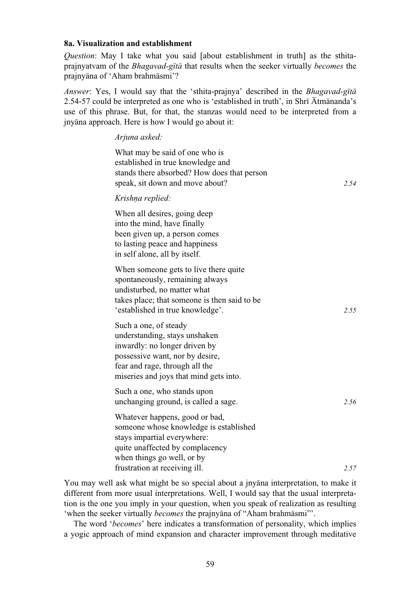## <span id="page-58-0"></span>**8a. Visualization and establishment**

*Question*: May I take what you said [about establishment in truth] as the sthitaprajnyatvam of the *Bhagavad-gita* that results when the seeker virtually *becomes* the prajnyana of 'Aham brahmasmi'?

*Answer*: Yes, I would say that the 'sthita-prajnya' described in the *Bhagavad-gita* 2.54-57 could be interpreted as one who is 'established in truth', in Shrī  $\overline{A}$ tmānanda's use of this phrase. But, for that, the stanzas would need to be interpreted from a jnyana approach. Here is how I would go about it:

*Arjuna asked:* 

| What may be said of one who is<br>established in true knowledge and<br>stands there absorbed? How does that person<br>speak, sit down and move about?                                                  | 2.54 |
|--------------------------------------------------------------------------------------------------------------------------------------------------------------------------------------------------------|------|
| Krishna replied:                                                                                                                                                                                       |      |
| When all desires, going deep<br>into the mind, have finally<br>been given up, a person comes<br>to lasting peace and happiness<br>in self alone, all by itself.                                        |      |
| When someone gets to live there quite<br>spontaneously, remaining always<br>undisturbed, no matter what<br>takes place; that someone is then said to be<br>'established in true knowledge'.            | 2.55 |
| Such a one, of steady<br>understanding, stays unshaken<br>inwardly: no longer driven by<br>possessive want, nor by desire,<br>fear and rage, through all the<br>miseries and joys that mind gets into. |      |
| Such a one, who stands upon<br>unchanging ground, is called a sage.                                                                                                                                    | 2.56 |
| Whatever happens, good or bad,<br>someone whose knowledge is established<br>stays impartial everywhere:<br>quite unaffected by complacency                                                             |      |
| when things go well, or by<br>frustration at receiving ill.                                                                                                                                            | 2.57 |

You may well ask what might be so special about a jnyana interpretation, to make it different from more usual interpretations. Well, I would say that the usual interpretation is the one you imply in your question, when you speak of realization as resulting 'when the seeker virtually *becomes* the prajnyana of "Aham brahmasmi"'.

The word '*becomes*' here indicates a transformation of personality, which implies a yogic approach of mind expansion and character improvement through meditative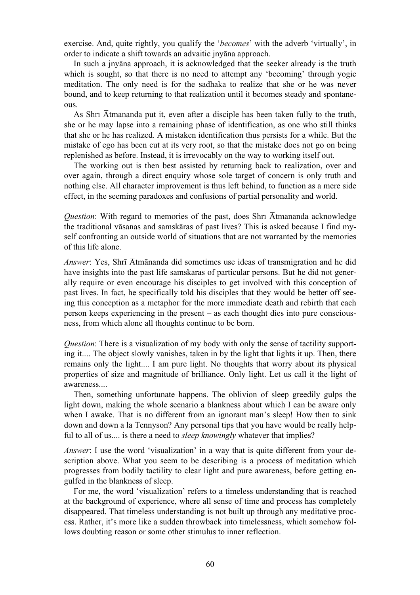exercise. And, quite rightly, you qualify the '*becomes*' with the adverb 'virtually', in order to indicate a shift towards an advaitic jnyana approach.

In such a jnyana approach, it is acknowledged that the seeker already is the truth which is sought, so that there is no need to attempt any 'becoming' through yogic meditation. The only need is for the sadhaka to realize that she or he was never bound, and to keep returning to that realization until it becomes steady and spontaneous.

As Shri Atmananda put it, even after a disciple has been taken fully to the truth, she or he may lapse into a remaining phase of identification, as one who still thinks that she or he has realized. A mistaken identification thus persists for a while. But the mistake of ego has been cut at its very root, so that the mistake does not go on being replenished as before. Instead, it is irrevocably on the way to working itself out.

The working out is then best assisted by returning back to realization, over and over again, through a direct enquiry whose sole target of concern is only truth and nothing else. All character improvement is thus left behind, to function as a mere side effect, in the seeming paradoxes and confusions of partial personality and world.

*Question*: With regard to memories of the past, does Shrī  $\overline{A}$ tmānanda acknowledge the traditional vāsanas and samskāras of past lives? This is asked because I find myself confronting an outside world of situations that are not warranted by the memories of this life alone.

*Answer*: Yes, Shri Atmananda did sometimes use ideas of transmigration and he did have insights into the past life samskaras of particular persons. But he did not generally require or even encourage his disciples to get involved with this conception of past lives. In fact, he specifically told his disciples that they would be better off seeing this conception as a metaphor for the more immediate death and rebirth that each person keeps experiencing in the present – as each thought dies into pure consciousness, from which alone all thoughts continue to be born.

*Question*: There is a visualization of my body with only the sense of tactility supporting it.... The object slowly vanishes, taken in by the light that lights it up. Then, there remains only the light.... I am pure light. No thoughts that worry about its physical properties of size and magnitude of brilliance. Only light. Let us call it the light of awareness....

Then, something unfortunate happens. The oblivion of sleep greedily gulps the light down, making the whole scenario a blankness about which I can be aware only when I awake. That is no different from an ignorant man's sleep! How then to sink down and down a la Tennyson? Any personal tips that you have would be really helpful to all of us.... is there a need to *sleep knowingly* whatever that implies?

*Answer*: I use the word 'visualization' in a way that is quite different from your description above. What you seem to be describing is a process of meditation which progresses from bodily tactility to clear light and pure awareness, before getting engulfed in the blankness of sleep.

For me, the word 'visualization' refers to a timeless understanding that is reached at the background of experience, where all sense of time and process has completely disappeared. That timeless understanding is not built up through any meditative process. Rather, it's more like a sudden throwback into timelessness, which somehow follows doubting reason or some other stimulus to inner reflection.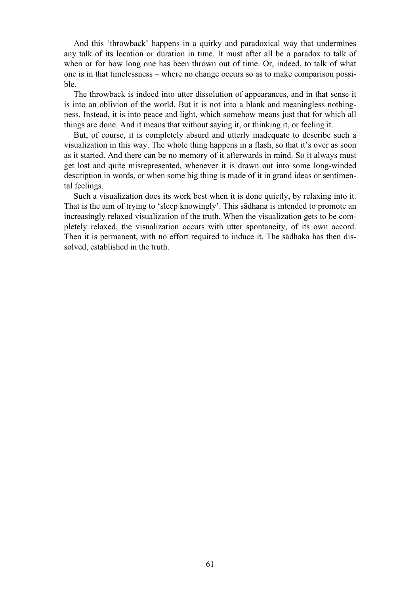And this 'throwback' happens in a quirky and paradoxical way that undermines any talk of its location or duration in time. It must after all be a paradox to talk of when or for how long one has been thrown out of time. Or, indeed, to talk of what one is in that timelessness – where no change occurs so as to make comparison possible.

The throwback is indeed into utter dissolution of appearances, and in that sense it is into an oblivion of the world. But it is not into a blank and meaningless nothingness. Instead, it is into peace and light, which somehow means just that for which all things are done. And it means that without saying it, or thinking it, or feeling it.

But, of course, it is completely absurd and utterly inadequate to describe such a visualization in this way. The whole thing happens in a flash, so that it's over as soon as it started. And there can be no memory of it afterwards in mind. So it always must get lost and quite misrepresented, whenever it is drawn out into some long-winded description in words, or when some big thing is made of it in grand ideas or sentimental feelings.

Such a visualization does its work best when it is done quietly, by relaxing into it. That is the aim of trying to 'sleep knowingly'. This sadhana is intended to promote an increasingly relaxed visualization of the truth. When the visualization gets to be completely relaxed, the visualization occurs with utter spontaneity, of its own accord. Then it is permanent, with no effort required to induce it. The sadhaka has then dissolved, established in the truth.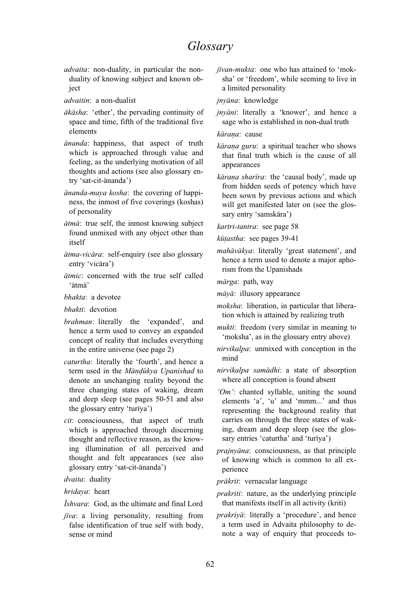# *Glossary*

- <span id="page-61-0"></span>*advaita*: non-duality, in particular the nonduality of knowing subject and known object
- *advaitin*: a non-dualist
- *akasha*: 'ether', the pervading continuity of space and time, fifth of the traditional five elements
- *ananda*: happiness, that aspect of truth which is approached through value and feeling, as the underlying motivation of all thoughts and actions (see also glossary entry 'sat-cit-ananda')
- *ananda-maya kosha*: the covering of happiness, the inmost of five coverings (koshas) of personality
- *atma*: true self, the inmost knowing subject found unmixed with any object other than itself
- *atma-vicara*: self-enquiry (see also glossary entry 'vicāra')
- *atmic*: concerned with the true self called 'atma'
- *bhakta*: a devotee
- *bhakti*: devotion
- *brahman*: literally the 'expanded', and hence a term used to convey an expanded concept of reality that includes everything in the entire universe (see page 2)
- *caturtha*: literally the 'fourth', and hence a term used in the *Mandukya Upanishad* to denote an unchanging reality beyond the three changing states of waking, dream and deep sleep (see pages 50-51 and also the glossary entry 'turiya')
- *cit*: consciousness, that aspect of truth which is approached through discerning thought and reflective reason, as the knowing illumination of all perceived and thought and felt appearances (see also glossary entry 'sat-cit-ananda')

*dvaita*: duality

*hridaya*: heart

*Ishvara*: God, as the ultimate and final Lord

*jiva*: a living personality, resulting from false identification of true self with body, sense or mind

*jivan-mukta*: one who has attained to 'moksha' or 'freedom', while seeming to live in a limited personality

*jnyana*: knowledge

*jnyani*: literally a 'knower', and hence a sage who is established in non-dual truth

*karana*: cause

- *karana guru*: a spiritual teacher who shows that final truth which is the cause of all appearances
- *karana sharira*: the 'causal body', made up from hidden seeds of potency which have been sown by previous actions and which will get manifested later on (see the glossary entry 'samskāra')

*kartri-tantra*: see page 58

*kutastha*: see pages 39-41

*mahavakya*: literally 'great statement', and hence a term used to denote a major aphorism from the Upanishads

*marga*: path, way

- *maya*: illusory appearance
- *moksha*: liberation, in particular that liberation which is attained by realizing truth
- *mukti*: freedom (very similar in meaning to 'moksha', as in the glossary entry above)
- *nirvikalpa*: unmixed with conception in the mind
- *nirvikalpa samadhi*: a state of absorption where all conception is found absent
- *'Om'*: chanted syllable, uniting the sound elements 'a', 'u' and 'mmm...' and thus representing the background reality that carries on through the three states of waking, dream and deep sleep (see the glossary entries 'caturtha' and 'turiya')
- *prajnyana*: consciousness, as that principle of knowing which is common to all experience

*prakrit*: vernacular language

- *prakriti*: nature, as the underlying principle that manifests itself in all activity (kriti)
- *prakriya*: literally a 'procedure', and hence a term used in Advaita philosophy to denote a way of enquiry that proceeds to-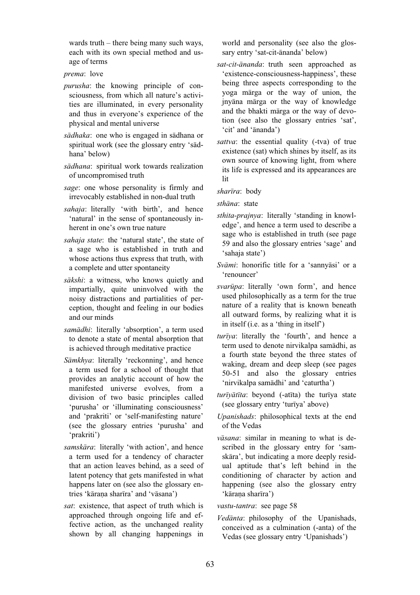wards truth – there being many such ways, each with its own special method and usage of terms

- *prema*: love
- *purusha*: the knowing principle of consciousness, from which all nature's activities are illuminated, in every personality and thus in everyone's experience of the physical and mental universe
- *sadhaka*: one who is engaged in sadhana or spiritual work (see the glossary entry 'sadhana' below)
- *sadhana*: spiritual work towards realization of uncompromised truth
- *sage*: one whose personality is firmly and irrevocably established in non-dual truth
- *sahaja*: literally 'with birth', and hence 'natural' in the sense of spontaneously inherent in one's own true nature
- *sahaja state*: the 'natural state', the state of a sage who is established in truth and whose actions thus express that truth, with a complete and utter spontaneity
- *sakshi*: a witness, who knows quietly and impartially, quite uninvolved with the noisy distractions and partialities of perception, thought and feeling in our bodies and our minds
- *samadhi*: literally 'absorption', a term used to denote a state of mental absorption that is achieved through meditative practice
- *Samkhya*: literally 'reckonning', and hence a term used for a school of thought that provides an analytic account of how the manifested universe evolves, from a division of two basic principles called 'purusha' or 'illuminating consciousness' and 'prakriti' or 'self-manifesting nature' (see the glossary entries 'purusha' and 'prakriti')
- *samskara*: literally 'with action', and hence a term used for a tendency of character that an action leaves behind, as a seed of latent potency that gets manifested in what happens later on (see also the glossary entries 'kārana sharīra' and 'vāsana')
- *sat*: existence, that aspect of truth which is approached through ongoing life and effective action, as the unchanged reality shown by all changing happenings in

world and personality (see also the glossary entry 'sat-cit-ananda' below)

- *sat-cit-ananda*: truth seen approached as 'existence-consciousness-happiness', these being three aspects corresponding to the yoga marga or the way of union, the jnyana marga or the way of knowledge and the bhakti marga or the way of devotion (see also the glossary entries 'sat', 'cit' and 'ananda')
- *sattva*: the essential quality (-tva) of true existence (sat) which shines by itself, as its own source of knowing light, from where its life is expressed and its appearances are lit

*sharira*: body

*sthana*: state

- *sthita-prajnya*: literally 'standing in knowledge', and hence a term used to describe a sage who is established in truth (see page 59 and also the glossary entries 'sage' and 'sahaja state')
- *Svami*: honorific title for a 'sannyasi' or a 'renouncer'
- *svarupa*: literally 'own form', and hence used philosophically as a term for the true nature of a reality that is known beneath all outward forms, by realizing what it is in itself (i.e. as a 'thing in itself')
- *turiya*: literally the 'fourth', and hence a term used to denote nirvikalpa samadhi, as a fourth state beyond the three states of waking, dream and deep sleep (see pages 50-51 and also the glossary entries 'nirvikalpa samadhi' and 'caturtha')
- *turiyatita*: beyond (-atita) the turiya state (see glossary entry 'turiya' above)
- *Upanishads*: philosophical texts at the end of the Vedas
- *vasana*: similar in meaning to what is described in the glossary entry for 'samskara', but indicating a more deeply residual aptitude that's left behind in the conditioning of character by action and happening (see also the glossary entry 'kārana sharīra')

*vastu-tantra*: see page 58

*Vedanta*: philosophy of the Upanishads, conceived as a culmination (-anta) of the Vedas (see glossary entry 'Upanishads')